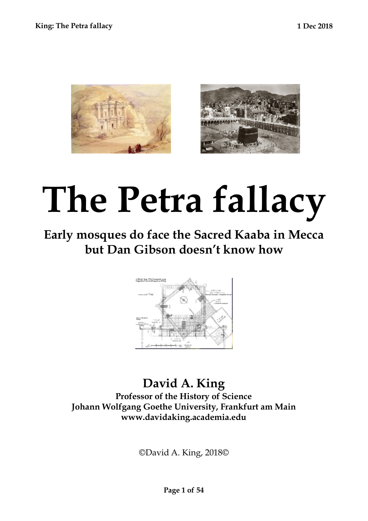



# **The Petra fallacy**

# **Early mosques do face the Sacred Kaaba in Mecca but Dan Gibson doesn't know how**



## **David A. King Professor of the History of Science Johann Wolfgang Goethe University, Frankfurt am Main www.davidaking.academia.edu**

©David A. King, 2018©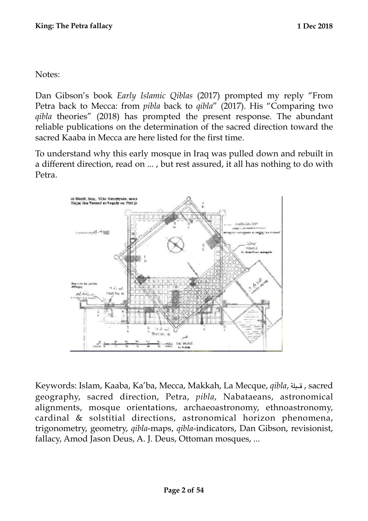Notes:

Dan Gibson's book *Early Islamic Qiblas* (2017) prompted my reply "From Petra back to Mecca: from *pibla* back to *qibla*" (2017). His "Comparing two *qibla* theories" (2018) has prompted the present response. The abundant reliable publications on the determination of the sacred direction toward the sacred Kaaba in Mecca are here listed for the first time.

To understand why this early mosque in Iraq was pulled down and rebuilt in a different direction, read on ... , but rest assured, it all has nothing to do with Petra.



Keywords: Islam, Kaaba, Ka'ba, Mecca, Makkah, La Mecque, *qibla*, قبلة, sacred geography, sacred direction, Petra, *pibla*, Nabataeans, astronomical alignments, mosque orientations, archaeoastronomy, ethnoastronomy, cardinal & solstitial directions, astronomical horizon phenomena, trigonometry, geometry, *qibla*-maps, *qibla*-indicators, Dan Gibson, revisionist, fallacy, Amod Jason Deus, A. J. Deus, Ottoman mosques, ...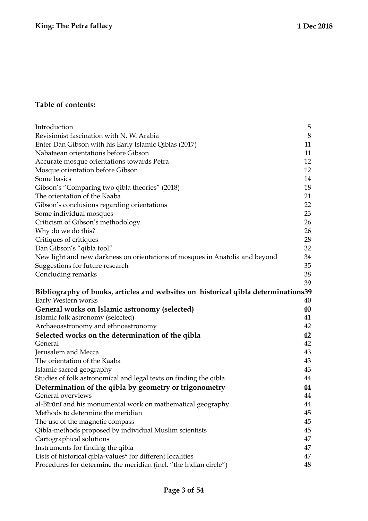#### **Table of contents:**

| Introduction                                                                      | 5  |
|-----------------------------------------------------------------------------------|----|
| Revisionist fascination with N. W. Arabia                                         | 8  |
| Enter Dan Gibson with his Early Islamic Qiblas (2017)                             | 11 |
| Nabataean orientations before Gibson                                              | 11 |
| Accurate mosque orientations towards Petra                                        | 12 |
| Mosque orientation before Gibson                                                  | 12 |
| Some basics                                                                       | 14 |
| Gibson's "Comparing two qibla theories" (2018)                                    | 18 |
| The orientation of the Kaaba                                                      | 21 |
| Gibson's conclusions regarding orientations                                       | 22 |
| Some individual mosques                                                           | 23 |
| Criticism of Gibson's methodology                                                 | 26 |
| Why do we do this?                                                                | 26 |
| Critiques of critiques                                                            | 28 |
| Dan Gibson's "qibla tool"                                                         | 32 |
| New light and new darkness on orientations of mosques in Anatolia and beyond      | 34 |
| Suggestions for future research                                                   | 35 |
| Concluding remarks                                                                | 38 |
|                                                                                   | 39 |
| Bibliography of books, articles and websites on historical qibla determinations39 |    |
| Early Western works                                                               | 40 |
| General works on Islamic astronomy (selected)                                     |    |
|                                                                                   | 40 |
| Islamic folk astronomy (selected)                                                 | 41 |
| Archaeoastronomy and ethnoastronomy                                               | 42 |
| Selected works on the determination of the qibla                                  | 42 |
| General                                                                           | 42 |
| Jerusalem and Mecca                                                               | 43 |
| The orientation of the Kaaba                                                      | 43 |
| Islamic sacred geography                                                          | 43 |
| Studies of folk astronomical and legal texts on finding the qibla                 | 44 |
| Determination of the qibla by geometry or trigonometry                            | 44 |
| General overviews                                                                 | 44 |
| al-Bīrūnī and his monumental work on mathematical geography                       | 44 |
| Methods to determine the meridian                                                 | 45 |
| The use of the magnetic compass                                                   | 45 |
| Qibla-methods proposed by individual Muslim scientists                            | 45 |
| Cartographical solutions                                                          | 47 |
| Instruments for finding the qibla                                                 | 47 |
| Lists of historical qibla-values* for different localities                        | 47 |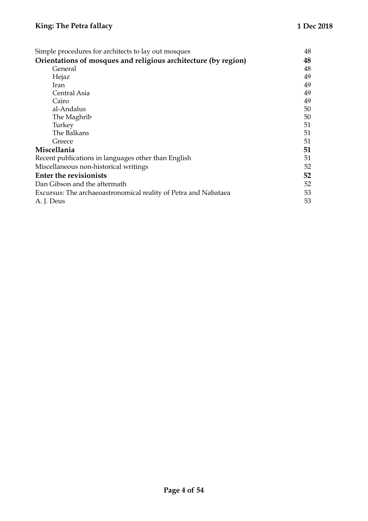| Simple procedures for architects to lay out mosques             | 48 |
|-----------------------------------------------------------------|----|
| Orientations of mosques and religious architecture (by region)  | 48 |
| General                                                         | 48 |
| Hejaz                                                           | 49 |
| Iran                                                            | 49 |
| Central Asia                                                    | 49 |
| Cairo                                                           | 49 |
| al-Andalus                                                      | 50 |
| The Maghrib                                                     | 50 |
| Turkey                                                          | 51 |
| The Balkans                                                     | 51 |
| Greece                                                          | 51 |
| Miscellania                                                     | 51 |
| Recent publications in languages other than English             | 51 |
| Miscellaneous non-historical writings                           | 52 |
| <b>Enter the revisionists</b>                                   | 52 |
| Dan Gibson and the aftermath                                    | 52 |
| Excursus: The archaeoastronomical reality of Petra and Nabataea | 53 |
| A. J. Deus                                                      | 53 |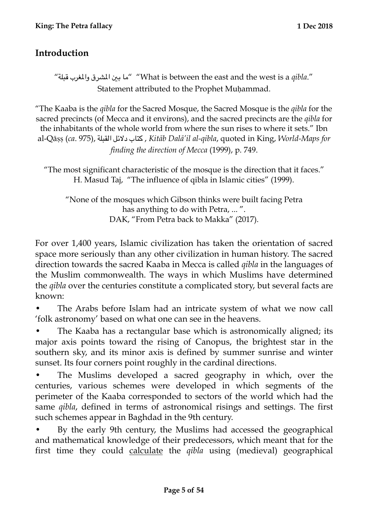## <span id="page-4-0"></span>**Introduction**

"قبلة والغرب الشرق بي ما" "What is between the east and the west is a *qibla*." Statement attributed to the Prophet Muḥammad.

"The Kaaba is the *qibla* for the Sacred Mosque, the Sacred Mosque is the *qibla* for the sacred precincts (of Mecca and it environs), and the sacred precincts are the *qibla* for the inhabitants of the whole world from where the sun rises to where it sets." Ibn al-Qāṣṣ (*ca*. 975), القبلة دلئل كتاب , *Kitāb Dalā'il al-qibla*, quoted in King, *World-Maps for finding the direction of Mecca* (1999), p. 749.

"The most significant characteristic of the mosque is the direction that it faces." H. Masud Taj, "The influence of qibla in Islamic cities" (1999).

"None of the mosques which Gibson thinks were built facing Petra has anything to do with Petra, ... ". DAK, "From Petra back to Makka" (2017).

For over 1,400 years, Islamic civilization has taken the orientation of sacred space more seriously than any other civilization in human history. The sacred direction towards the sacred Kaaba in Mecca is called *qibla* in the languages of the Muslim commonwealth. The ways in which Muslims have determined the *qibla* over the centuries constitute a complicated story, but several facts are known:

• The Arabs before Islam had an intricate system of what we now call 'folk astronomy' based on what one can see in the heavens.

• The Kaaba has a rectangular base which is astronomically aligned; its major axis points toward the rising of Canopus, the brightest star in the southern sky, and its minor axis is defined by summer sunrise and winter sunset. Its four corners point roughly in the cardinal directions.

The Muslims developed a sacred geography in which, over the centuries, various schemes were developed in which segments of the perimeter of the Kaaba corresponded to sectors of the world which had the same *qibla*, defined in terms of astronomical risings and settings. The first such schemes appear in Baghdad in the 9th century.

• By the early 9th century, the Muslims had accessed the geographical and mathematical knowledge of their predecessors, which meant that for the first time they could calculate the *qibla* using (medieval) geographical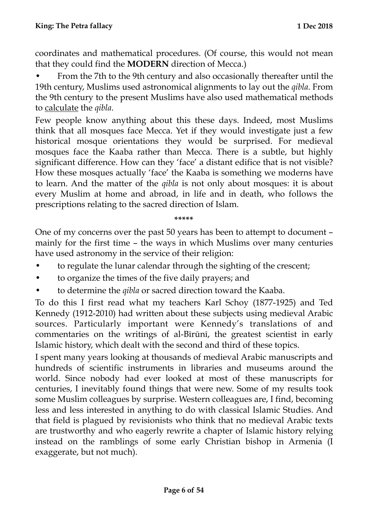coordinates and mathematical procedures. (Of course, this would not mean that they could find the **MODERN** direction of Mecca.)

• From the 7th to the 9th century and also occasionally thereafter until the 19th century, Muslims used astronomical alignments to lay out the *qibla*. From the 9th century to the present Muslims have also used mathematical methods to calculate the *qibla*.

Few people know anything about this these days. Indeed, most Muslims think that all mosques face Mecca. Yet if they would investigate just a few historical mosque orientations they would be surprised. For medieval mosques face the Kaaba rather than Mecca. There is a subtle, but highly significant difference. How can they 'face' a distant edifice that is not visible? How these mosques actually 'face' the Kaaba is something we moderns have to learn. And the matter of the *qibla* is not only about mosques: it is about every Muslim at home and abroad, in life and in death, who follows the prescriptions relating to the sacred direction of Islam.

**\*\*\*\*\*** 

One of my concerns over the past 50 years has been to attempt to document – mainly for the first time – the ways in which Muslims over many centuries have used astronomy in the service of their religion:

- to regulate the lunar calendar through the sighting of the crescent;
- to organize the times of the five daily prayers; and
- to determine the *qibla* or sacred direction toward the Kaaba.

To do this I first read what my teachers Karl Schoy (1877-1925) and Ted Kennedy (1912-2010) had written about these subjects using medieval Arabic sources. Particularly important were Kennedy's translations of and commentaries on the writings of al-Bīrūnī, the greatest scientist in early Islamic history, which dealt with the second and third of these topics.

I spent many years looking at thousands of medieval Arabic manuscripts and hundreds of scientific instruments in libraries and museums around the world. Since nobody had ever looked at most of these manuscripts for centuries, I inevitably found things that were new. Some of my results took some Muslim colleagues by surprise. Western colleagues are, I find, becoming less and less interested in anything to do with classical Islamic Studies. And that field is plagued by revisionists who think that no medieval Arabic texts are trustworthy and who eagerly rewrite a chapter of Islamic history relying instead on the ramblings of some early Christian bishop in Armenia (I exaggerate, but not much).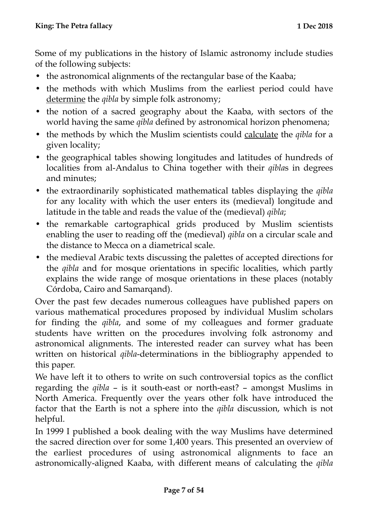Some of my publications in the history of Islamic astronomy include studies of the following subjects:

- the astronomical alignments of the rectangular base of the Kaaba;
- the methods with which Muslims from the earliest period could have determine the *qibla* by simple folk astronomy;
- the notion of a sacred geography about the Kaaba, with sectors of the world having the same *qibla* defined by astronomical horizon phenomena;
- the methods by which the Muslim scientists could calculate the *qibla* for a given locality;
- the geographical tables showing longitudes and latitudes of hundreds of localities from al-Andalus to China together with their *qibla*s in degrees and minutes;
- the extraordinarily sophisticated mathematical tables displaying the *qibla* for any locality with which the user enters its (medieval) longitude and latitude in the table and reads the value of the (medieval) *qibla*;
- the remarkable cartographical grids produced by Muslim scientists enabling the user to reading off the (medieval) *qibla* on a circular scale and the distance to Mecca on a diametrical scale.
- the medieval Arabic texts discussing the palettes of accepted directions for the *qibla* and for mosque orientations in specific localities, which partly explains the wide range of mosque orientations in these places (notably Córdoba, Cairo and Samarqand).

Over the past few decades numerous colleagues have published papers on various mathematical procedures proposed by individual Muslim scholars for finding the *qibla*, and some of my colleagues and former graduate students have written on the procedures involving folk astronomy and astronomical alignments. The interested reader can survey what has been written on historical *qibla*-determinations in the bibliography appended to this paper.

We have left it to others to write on such controversial topics as the conflict regarding the *qibla* – is it south-east or north-east? – amongst Muslims in North America. Frequently over the years other folk have introduced the factor that the Earth is not a sphere into the *qibla* discussion, which is not helpful.

In 1999 I published a book dealing with the way Muslims have determined the sacred direction over for some 1,400 years. This presented an overview of the earliest procedures of using astronomical alignments to face an astronomically-aligned Kaaba, with different means of calculating the *qibla*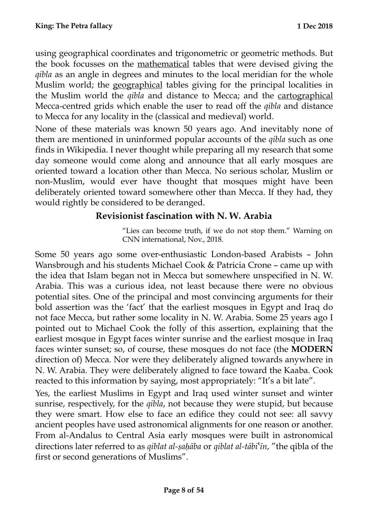using geographical coordinates and trigonometric or geometric methods. But the book focusses on the mathematical tables that were devised giving the *qibla* as an angle in degrees and minutes to the local meridian for the whole Muslim world; the geographical tables giving for the principal localities in the Muslim world the *qibla* and distance to Mecca; and the cartographical Mecca-centred grids which enable the user to read off the *qibla* and distance to Mecca for any locality in the (classical and medieval) world.

None of these materials was known 50 years ago. And inevitably none of them are mentioned in uninformed popular accounts of the *qibla* such as one finds in Wikipedia. I never thought while preparing all my research that some day someone would come along and announce that all early mosques are oriented toward a location other than Mecca. No serious scholar, Muslim or non-Muslim, would ever have thought that mosques might have been deliberately oriented toward somewhere other than Mecca. If they had, they would rightly be considered to be deranged.

## <span id="page-7-0"></span>**Revisionist fascination with N. W. Arabia**

"Lies can become truth, if we do not stop them." Warning on CNN international, Nov., 2018.

Some 50 years ago some over-enthusiastic London-based Arabists – John Wansbrough and his students Michael Cook & Patricia Crone – came up with the idea that Islam began not in Mecca but somewhere unspecified in N. W. Arabia. This was a curious idea, not least because there were no obvious potential sites. One of the principal and most convincing arguments for their bold assertion was the 'fact' that the earliest mosques in Egypt and Iraq do not face Mecca, but rather some locality in N. W. Arabia. Some 25 years ago I pointed out to Michael Cook the folly of this assertion, explaining that the earliest mosque in Egypt faces winter sunrise and the earliest mosque in Iraq faces winter sunset; so, of course, these mosques do not face (the **MODERN**  direction of) Mecca. Nor were they deliberately aligned towards anywhere in N. W. Arabia. They were deliberately aligned to face toward the Kaaba. Cook reacted to this information by saying, most appropriately: "It's a bit late".

Yes, the earliest Muslims in Egypt and Iraq used winter sunset and winter sunrise, respectively, for the *qibla*, not because they were stupid, but because they were smart. How else to face an edifice they could not see: all savvy ancient peoples have used astronomical alignments for one reason or another. From al-Andalus to Central Asia early mosques were built in astronomical directions later referred to as *qiblat al-ṣaḥāba* or *qiblat al-tābi*ʿ*īn*, "the qibla of the first or second generations of Muslims".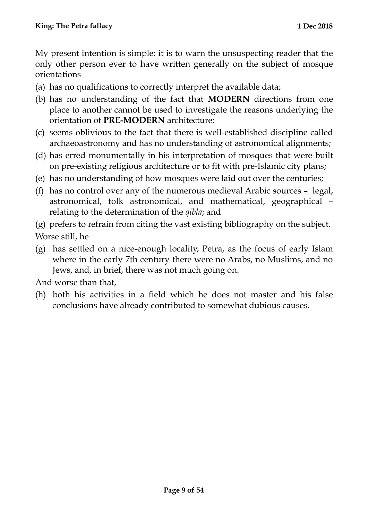My present intention is simple: it is to warn the unsuspecting reader that the only other person ever to have written generally on the subject of mosque orientations

- (a) has no qualifications to correctly interpret the available data;
- (b) has no understanding of the fact that **MODERN** directions from one place to another cannot be used to investigate the reasons underlying the orientation of **PRE-MODERN** architecture;
- (c) seems oblivious to the fact that there is well-established discipline called archaeoastronomy and has no understanding of astronomical alignments;
- (d) has erred monumentally in his interpretation of mosques that were built on pre-existing religious architecture or to fit with pre-Islamic city plans;
- (e) has no understanding of how mosques were laid out over the centuries;
- (f) has no control over any of the numerous medieval Arabic sources legal, astronomical, folk astronomical, and mathematical, geographical – relating to the determination of the *qibla*; and
- (g) prefers to refrain from citing the vast existing bibliography on the subject. Worse still, he
- (g) has settled on a nice-enough locality, Petra, as the focus of early Islam where in the early 7th century there were no Arabs, no Muslims, and no Jews, and, in brief, there was not much going on.

And worse than that,

(h) both his activities in a field which he does not master and his false conclusions have already contributed to somewhat dubious causes.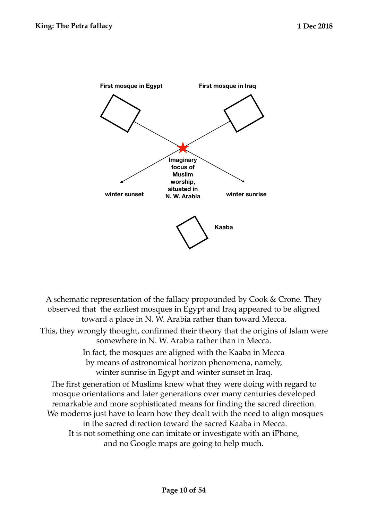

A schematic representation of the fallacy propounded by Cook & Crone. They observed that the earliest mosques in Egypt and Iraq appeared to be aligned toward a place in N. W. Arabia rather than toward Mecca. This, they wrongly thought, confirmed their theory that the origins of Islam were somewhere in N. W. Arabia rather than in Mecca. In fact, the mosques are aligned with the Kaaba in Mecca by means of astronomical horizon phenomena, namely, winter sunrise in Egypt and winter sunset in Iraq.

The first generation of Muslims knew what they were doing with regard to mosque orientations and later generations over many centuries developed remarkable and more sophisticated means for finding the sacred direction. We moderns just have to learn how they dealt with the need to align mosques in the sacred direction toward the sacred Kaaba in Mecca. It is not something one can imitate or investigate with an iPhone, and no Google maps are going to help much.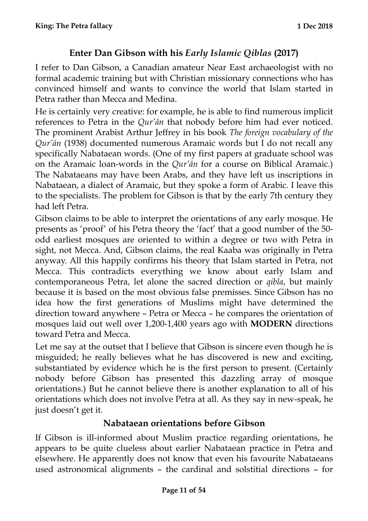## <span id="page-10-0"></span>**Enter Dan Gibson with his** *Early Islamic Qiblas* **(2017)**

I refer to Dan Gibson, a Canadian amateur Near East archaeologist with no formal academic training but with Christian missionary connections who has convinced himself and wants to convince the world that Islam started in Petra rather than Mecca and Medina.

He is certainly very creative: for example, he is able to find numerous implicit references to Petra in the *Qur'ān* that nobody before him had ever noticed. The prominent Arabist Arthur Jeffrey in his book *The foreign vocabulary of the Qur'ān* (1938) documented numerous Aramaic words but I do not recall any specifically Nabataean words. (One of my first papers at graduate school was on the Aramaic loan-words in the *Qur'ān* for a course on Biblical Aramaic.) The Nabataeans may have been Arabs, and they have left us inscriptions in Nabataean, a dialect of Aramaic, but they spoke a form of Arabic. I leave this to the specialists. The problem for Gibson is that by the early 7th century they had left Petra.

Gibson claims to be able to interpret the orientations of any early mosque. He presents as 'proof' of his Petra theory the 'fact' that a good number of the 50 odd earliest mosques are oriented to within a degree or two with Petra in sight, not Mecca. And, Gibson claims, the real Kaaba was originally in Petra anyway. All this happily confirms his theory that Islam started in Petra, not Mecca. This contradicts everything we know about early Islam and contemporaneous Petra, let alone the sacred direction or *qibla*, but mainly because it is based on the most obvious false premisses. Since Gibson has no idea how the first generations of Muslims might have determined the direction toward anywhere – Petra or Mecca – he compares the orientation of mosques laid out well over 1,200-1,400 years ago with **MODERN** directions toward Petra and Mecca.

Let me say at the outset that I believe that Gibson is sincere even though he is misguided; he really believes what he has discovered is new and exciting, substantiated by evidence which he is the first person to present. (Certainly nobody before Gibson has presented this dazzling array of mosque orientations.) But he cannot believe there is another explanation to all of his orientations which does not involve Petra at all. As they say in new-speak, he just doesn't get it.

## <span id="page-10-1"></span>**Nabataean orientations before Gibson**

If Gibson is ill-informed about Muslim practice regarding orientations, he appears to be quite clueless about earlier Nabataean practice in Petra and elsewhere. He apparently does not know that even his favourite Nabataeans used astronomical alignments – the cardinal and solstitial directions – for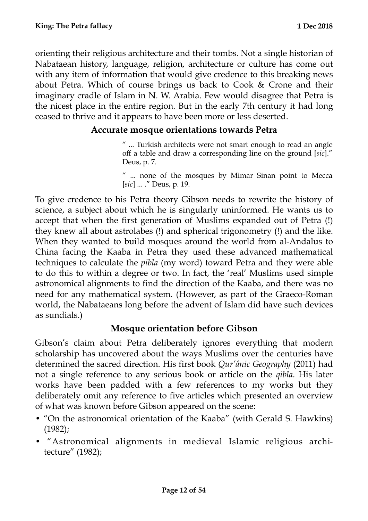orienting their religious architecture and their tombs. Not a single historian of Nabataean history, language, religion, architecture or culture has come out with any item of information that would give credence to this breaking news about Petra. Which of course brings us back to Cook & Crone and their imaginary cradle of Islam in N. W. Arabia. Few would disagree that Petra is the nicest place in the entire region. But in the early 7th century it had long ceased to thrive and it appears to have been more or less deserted.

#### <span id="page-11-0"></span>**Accurate mosque orientations towards Petra**

" ... Turkish architects were not smart enough to read an angle off a table and draw a corresponding line on the ground [*sic*]." Deus, p. 7.

" ... none of the mosques by Mimar Sinan point to Mecca [*sic*] ... ." Deus, p. 19.

To give credence to his Petra theory Gibson needs to rewrite the history of science, a subject about which he is singularly uninformed. He wants us to accept that when the first generation of Muslims expanded out of Petra (!) they knew all about astrolabes (!) and spherical trigonometry (!) and the like. When they wanted to build mosques around the world from al-Andalus to China facing the Kaaba in Petra they used these advanced mathematical techniques to calculate the *pibla* (my word) toward Petra and they were able to do this to within a degree or two. In fact, the 'real' Muslims used simple astronomical alignments to find the direction of the Kaaba, and there was no need for any mathematical system. (However, as part of the Graeco-Roman world, the Nabataeans long before the advent of Islam did have such devices as sundials.)

#### <span id="page-11-1"></span>**Mosque orientation before Gibson**

Gibson's claim about Petra deliberately ignores everything that modern scholarship has uncovered about the ways Muslims over the centuries have determined the sacred direction. His first book *Qur'ânic Geography* (2011) had not a single reference to any serious book or article on the *qibla*. His later works have been padded with a few references to my works but they deliberately omit any reference to five articles which presented an overview of what was known before Gibson appeared on the scene:

- "On the astronomical orientation of the Kaaba" (with Gerald S. Hawkins) (1982);
- "Astronomical alignments in medieval Islamic religious architecture" (1982);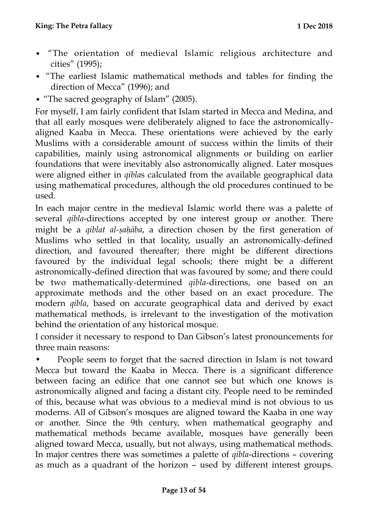- "The orientation of medieval Islamic religious architecture and cities" (1995);
- "The earliest Islamic mathematical methods and tables for finding the direction of Mecca" (1996); and
- "The sacred geography of Islam" (2005).

For myself, I am fairly confident that Islam started in Mecca and Medina, and that all early mosques were deliberately aligned to face the astronomicallyaligned Kaaba in Mecca. These orientations were achieved by the early Muslims with a considerable amount of success within the limits of their capabilities, mainly using astronomical alignments or building on earlier foundations that were inevitably also astronomically aligned. Later mosques were aligned either in *qibla*s calculated from the available geographical data using mathematical procedures, although the old procedures continued to be used.

In each major centre in the medieval Islamic world there was a palette of several *qibla*-directions accepted by one interest group or another. There might be a *qiblat al-ṣaḥāba*, a direction chosen by the first generation of Muslims who settled in that locality, usually an astronomically-defined direction, and favoured thereafter; there might be different directions favoured by the individual legal schools; there might be a different astronomically-defined direction that was favoured by some; and there could be two mathematically-determined *qibla*-directions, one based on an approximate methods and the other based on an exact procedure. The modern *qibla*, based on accurate geographical data and derived by exact mathematical methods, is irrelevant to the investigation of the motivation behind the orientation of any historical mosque.

I consider it necessary to respond to Dan Gibson's latest pronouncements for three main reasons:

• People seem to forget that the sacred direction in Islam is not toward Mecca but toward the Kaaba in Mecca. There is a significant difference between facing an edifice that one cannot see but which one knows is astronomically aligned and facing a distant city. People need to be reminded of this, because what was obvious to a medieval mind is not obvious to us moderns. All of Gibson's mosques are aligned toward the Kaaba in one way or another. Since the 9th century, when mathematical geography and mathematical methods became available, mosques have generally been aligned toward Mecca, usually, but not always, using mathematical methods. In major centres there was sometimes a palette of *qibla*-directions – covering as much as a quadrant of the horizon – used by different interest groups.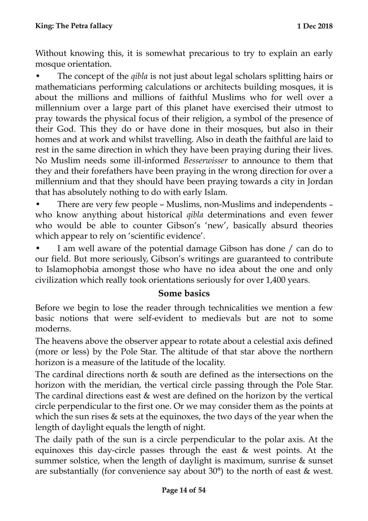Without knowing this, it is somewhat precarious to try to explain an early mosque orientation.

• The concept of the *qibla* is not just about legal scholars splitting hairs or mathematicians performing calculations or architects building mosques, it is about the millions and millions of faithful Muslims who for well over a millennium over a large part of this planet have exercised their utmost to pray towards the physical focus of their religion, a symbol of the presence of their God. This they do or have done in their mosques, but also in their homes and at work and whilst travelling. Also in death the faithful are laid to rest in the same direction in which they have been praying during their lives. No Muslim needs some ill-informed *Besserwisser* to announce to them that they and their forefathers have been praying in the wrong direction for over a millennium and that they should have been praying towards a city in Jordan that has absolutely nothing to do with early Islam.

• There are very few people – Muslims, non-Muslims and independents – who know anything about historical *qibla* determinations and even fewer who would be able to counter Gibson's 'new', basically absurd theories which appear to rely on 'scientific evidence'.

I am well aware of the potential damage Gibson has done / can do to our field. But more seriously, Gibson's writings are guaranteed to contribute to Islamophobia amongst those who have no idea about the one and only civilization which really took orientations seriously for over 1,400 years.

#### <span id="page-13-0"></span>**Some basics**

Before we begin to lose the reader through technicalities we mention a few basic notions that were self-evident to medievals but are not to some moderns.

The heavens above the observer appear to rotate about a celestial axis defined (more or less) by the Pole Star. The altitude of that star above the northern horizon is a measure of the latitude of the locality.

The cardinal directions north & south are defined as the intersections on the horizon with the meridian, the vertical circle passing through the Pole Star. The cardinal directions east & west are defined on the horizon by the vertical circle perpendicular to the first one. Or we may consider them as the points at which the sun rises & sets at the equinoxes, the two days of the year when the length of daylight equals the length of night.

The daily path of the sun is a circle perpendicular to the polar axis. At the equinoxes this day-circle passes through the east & west points. At the summer solstice, when the length of daylight is maximum, sunrise & sunset are substantially (for convenience say about 30°) to the north of east & west.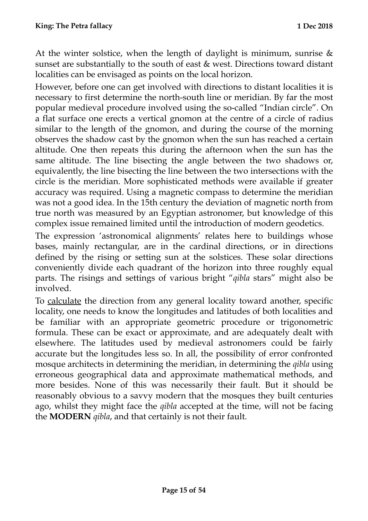At the winter solstice, when the length of daylight is minimum, sunrise  $\&$ sunset are substantially to the south of east & west. Directions toward distant localities can be envisaged as points on the local horizon.

However, before one can get involved with directions to distant localities it is necessary to first determine the north-south line or meridian. By far the most popular medieval procedure involved using the so-called "Indian circle". On a flat surface one erects a vertical gnomon at the centre of a circle of radius similar to the length of the gnomon, and during the course of the morning observes the shadow cast by the gnomon when the sun has reached a certain altitude. One then repeats this during the afternoon when the sun has the same altitude. The line bisecting the angle between the two shadows or, equivalently, the line bisecting the line between the two intersections with the circle is the meridian. More sophisticated methods were available if greater accuracy was required. Using a magnetic compass to determine the meridian was not a good idea. In the 15th century the deviation of magnetic north from true north was measured by an Egyptian astronomer, but knowledge of this complex issue remained limited until the introduction of modern geodetics.

The expression 'astronomical alignments' relates here to buildings whose bases, mainly rectangular, are in the cardinal directions, or in directions defined by the rising or setting sun at the solstices. These solar directions conveniently divide each quadrant of the horizon into three roughly equal parts. The risings and settings of various bright "*qibla* stars" might also be involved.

To calculate the direction from any general locality toward another, specific locality, one needs to know the longitudes and latitudes of both localities and be familiar with an appropriate geometric procedure or trigonometric formula. These can be exact or approximate, and are adequately dealt with elsewhere. The latitudes used by medieval astronomers could be fairly accurate but the longitudes less so. In all, the possibility of error confronted mosque architects in determining the meridian, in determining the *qibla* using erroneous geographical data and approximate mathematical methods, and more besides. None of this was necessarily their fault. But it should be reasonably obvious to a savvy modern that the mosques they built centuries ago, whilst they might face the *qibla* accepted at the time, will not be facing the **MODERN** *qibla*, and that certainly is not their fault.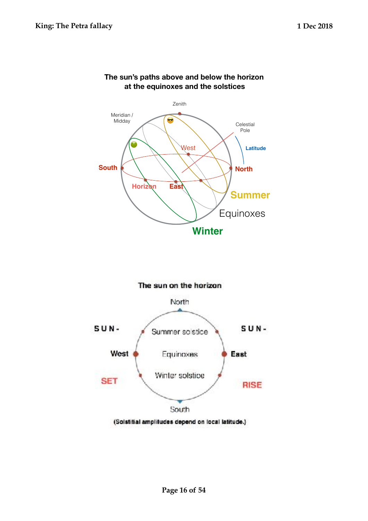

#### **The sun's paths above and below the horizon at the equinoxes and the solstices**



(Solstitial amplitudes depend on local latitude.)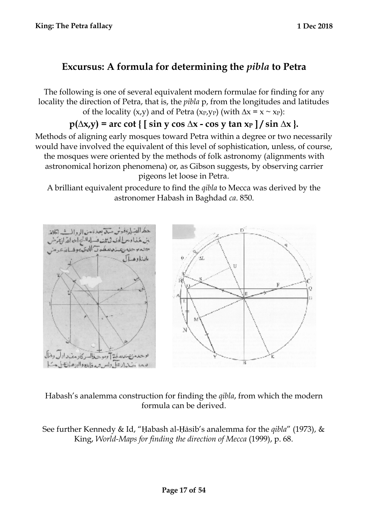## **Excursus: A formula for determining the** *pibla* **to Petra**

The following is one of several equivalent modern formulae for finding for any locality the direction of Petra, that is, the *pibla* p, from the longitudes and latitudes of the locality (x,y) and of Petra (x<sub>P</sub>,y<sub>P</sub>) (with  $\Delta x = x \sim x_P$ ):

## $p(\Delta x, y) =$  arc cot {  $\sin y \cos \Delta x - \cos y \tan x_P$  } / sin  $\Delta x$  }.

Methods of aligning early mosques toward Petra within a degree or two necessarily would have involved the equivalent of this level of sophistication, unless, of course, the mosques were oriented by the methods of folk astronomy (alignments with astronomical horizon phenomena) or, as Gibson suggests, by observing carrier pigeons let loose in Petra.

A brilliant equivalent procedure to find the *qibla* to Mecca was derived by the astronomer Habash in Baghdad *ca*. 850.



#### Habash's analemma construction for finding the *qibla*, from which the modern formula can be derived.

See further Kennedy & Id, "Habash al-Hāsib's analemma for the *qibla*" (1973), & King, *World-Maps for finding the direction of Mecca* (1999), p. 68.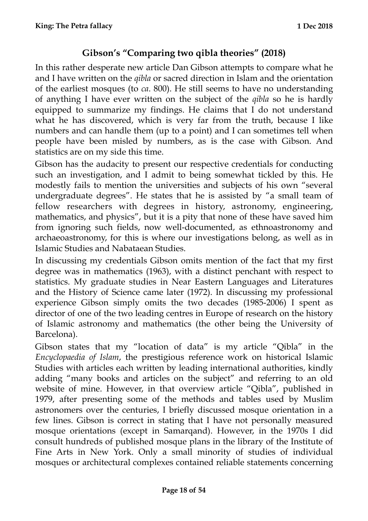## <span id="page-17-0"></span>**Gibson's "Comparing two qibla theories" (2018)**

In this rather desperate new article Dan Gibson attempts to compare what he and I have written on the *qibla* or sacred direction in Islam and the orientation of the earliest mosques (to *ca*. 800). He still seems to have no understanding of anything I have ever written on the subject of the *qibla* so he is hardly equipped to summarize my findings. He claims that I do not understand what he has discovered, which is very far from the truth, because I like numbers and can handle them (up to a point) and I can sometimes tell when people have been misled by numbers, as is the case with Gibson. And statistics are on my side this time.

Gibson has the audacity to present our respective credentials for conducting such an investigation, and I admit to being somewhat tickled by this. He modestly fails to mention the universities and subjects of his own "several undergraduate degrees". He states that he is assisted by "a small team of fellow researchers with degrees in history, astronomy, engineering, mathematics, and physics", but it is a pity that none of these have saved him from ignoring such fields, now well-documented, as ethnoastronomy and archaeoastronomy, for this is where our investigations belong, as well as in Islamic Studies and Nabataean Studies.

In discussing my credentials Gibson omits mention of the fact that my first degree was in mathematics (1963), with a distinct penchant with respect to statistics. My graduate studies in Near Eastern Languages and Literatures and the History of Science came later (1972). In discussing my professional experience Gibson simply omits the two decades (1985-2006) I spent as director of one of the two leading centres in Europe of research on the history of Islamic astronomy and mathematics (the other being the University of Barcelona).

Gibson states that my "location of data" is my article "Qibla" in the *Encyclopaedia of Islam*, the prestigious reference work on historical Islamic Studies with articles each written by leading international authorities, kindly adding "many books and articles on the subject" and referring to an old website of mine. However, in that overview article "Qibla", published in 1979, after presenting some of the methods and tables used by Muslim astronomers over the centuries, I briefly discussed mosque orientation in a few lines. Gibson is correct in stating that I have not personally measured mosque orientations (except in Samarqand). However, in the 1970s I did consult hundreds of published mosque plans in the library of the Institute of Fine Arts in New York. Only a small minority of studies of individual mosques or architectural complexes contained reliable statements concerning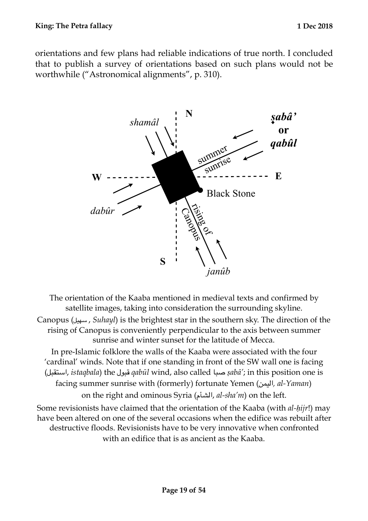orientations and few plans had reliable indications of true north. I concluded that to publish a survey of orientations based on such plans would not be worthwhile ("Astronomical alignments", p. 310).



The orientation of the Kaaba mentioned in medieval texts and confirmed by satellite images, taking into consideration the surrounding skyline.

Canopus (سهيل , *Suhayl*) is the brightest star in the southern sky. The direction of the rising of Canopus is conveniently perpendicular to the axis between summer sunrise and winter sunset for the latitude of Mecca.

In pre-Islamic folklore the walls of the Kaaba were associated with the four 'cardinal' winds. Note that if one standing in front of the SW wall one is facing (استقبل, *istaqbala*) the قبول *qabūl* wind, also called صبا *ṣabā'*; in this position one is facing summer sunrise with (formerly) fortunate Yemen (اليمن*, al-Yaman*) on the right and ominous Syria (الشأم, *al-sha'm*) on the left.

Some revisionists have claimed that the orientation of the Kaaba (with *al-ḥijr*!) may have been altered on one of the several occasions when the edifice was rebuilt after destructive floods. Revisionists have to be very innovative when confronted with an edifice that is as ancient as the Kaaba.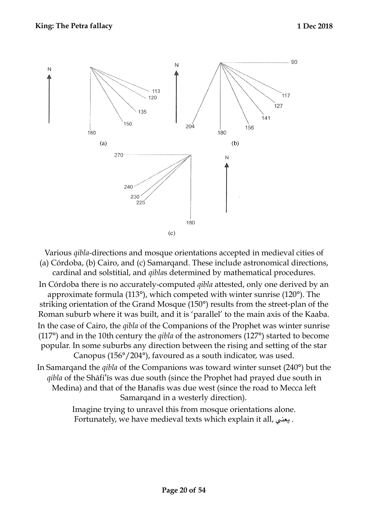

Various *qibla*-directions and mosque orientations accepted in medieval cities of (a) Córdoba, (b) Cairo, and (c) Samarqand. These include astronomical directions, cardinal and solstitial, and *qibla*s determined by mathematical procedures.

In Córdoba there is no accurately-computed *qibla* attested, only one derived by an approximate formula (113°), which competed with winter sunrise (120°). The striking orientation of the Grand Mosque (150°) results from the street-plan of the Roman suburb where it was built, and it is 'parallel' to the main axis of the Kaaba. In the case of Cairo, the *qibla* of the Companions of the Prophet was winter sunrise (117°) and in the 10th century the *qibla* of the astronomers (127°) started to become popular. In some suburbs any direction between the rising and setting of the star Canopus (156°/204°), favoured as a south indicator, was used.

In Samarqand the *qibla* of the Companions was toward winter sunset (240°) but the *qibla* of the Shāfiʿīs was due south (since the Prophet had prayed due south in Medina) and that of the Ḥanafīs was due west (since the road to Mecca left Samarqand in a westerly direction).

> Imagine trying to unravel this from mosque orientations alone. Fortunately, we have medieval texts which explain it all, يعني .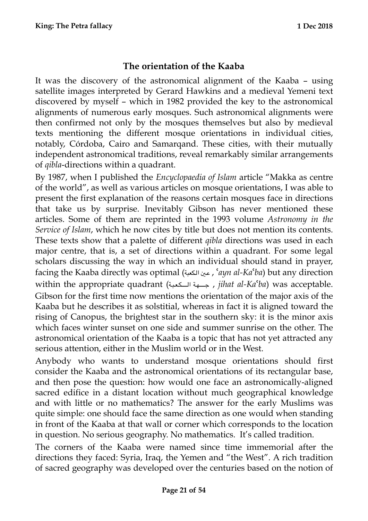## <span id="page-20-0"></span>**The orientation of the Kaaba**

It was the discovery of the astronomical alignment of the Kaaba – using satellite images interpreted by Gerard Hawkins and a medieval Yemeni text discovered by myself – which in 1982 provided the key to the astronomical alignments of numerous early mosques. Such astronomical alignments were then confirmed not only by the mosques themselves but also by medieval texts mentioning the different mosque orientations in individual cities, notably, Córdoba, Cairo and Samarqand. These cities, with their mutually independent astronomical traditions, reveal remarkably similar arrangements of *qibla*-directions within a quadrant.

By 1987, when I published the *Encyclopaedia of Islam* article "Makka as centre of the world", as well as various articles on mosque orientations, I was able to present the first explanation of the reasons certain mosques face in directions that take us by surprise. Inevitably Gibson has never mentioned these articles. Some of them are reprinted in the 1993 volume *Astronomy in the Service of Islam*, which he now cites by title but does not mention its contents. These texts show that a palette of different *qibla* directions was used in each major centre, that is, a set of directions within a quadrant. For some legal scholars discussing the way in which an individual should stand in prayer, facing the Kaaba directly was optimal (عين الكعبة , '*ayn al-Ka'ba*) but any direction within the appropriate quadrant (تجــهة الــكعبة , *jihat al-Ka<sup>c</sup>ba*) was acceptable. Gibson for the first time now mentions the orientation of the major axis of the Kaaba but he describes it as solstitial, whereas in fact it is aligned toward the rising of Canopus, the brightest star in the southern sky: it is the minor axis which faces winter sunset on one side and summer sunrise on the other. The astronomical orientation of the Kaaba is a topic that has not yet attracted any serious attention, either in the Muslim world or in the West.

Anybody who wants to understand mosque orientations should first consider the Kaaba and the astronomical orientations of its rectangular base, and then pose the question: how would one face an astronomically-aligned sacred edifice in a distant location without much geographical knowledge and with little or no mathematics? The answer for the early Muslims was quite simple: one should face the same direction as one would when standing in front of the Kaaba at that wall or corner which corresponds to the location in question. No serious geography. No mathematics. It's called tradition.

The corners of the Kaaba were named since time immemorial after the directions they faced: Syria, Iraq, the Yemen and "the West". A rich tradition of sacred geography was developed over the centuries based on the notion of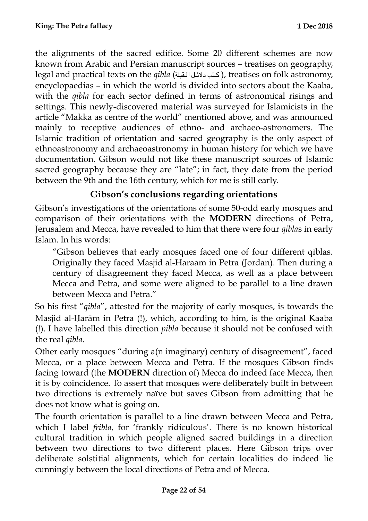the alignments of the sacred edifice. Some 20 different schemes are now known from Arabic and Persian manuscript sources – treatises on geography, legal and practical texts on the *qibla* (كتب دلائل القبلة), treatises on folk astronomy, encyclopaedias – in which the world is divided into sectors about the Kaaba, with the *qibla* for each sector defined in terms of astronomical risings and settings. This newly-discovered material was surveyed for Islamicists in the article "Makka as centre of the world" mentioned above, and was announced mainly to receptive audiences of ethno- and archaeo-astronomers. The Islamic tradition of orientation and sacred geography is the only aspect of ethnoastronomy and archaeoastronomy in human history for which we have documentation. Gibson would not like these manuscript sources of Islamic sacred geography because they are "late"; in fact, they date from the period between the 9th and the 16th century, which for me is still early.

## <span id="page-21-0"></span>**Gibson's conclusions regarding orientations**

Gibson's investigations of the orientations of some 50-odd early mosques and comparison of their orientations with the **MODERN** directions of Petra, Jerusalem and Mecca, have revealed to him that there were four *qibla*s in early Islam. In his words:

"Gibson believes that early mosques faced one of four different qiblas. Originally they faced Masjid al-Haraam in Petra (Jordan). Then during a century of disagreement they faced Mecca, as well as a place between Mecca and Petra, and some were aligned to be parallel to a line drawn between Mecca and Petra."

So his first "*qibla*", attested for the majority of early mosques, is towards the Masjid al-Ḥarām in Petra (!), which, according to him, is the original Kaaba (!). I have labelled this direction *pibla* because it should not be confused with the real *qibla*.

Other early mosques "during a(n imaginary) century of disagreement", faced Mecca, or a place between Mecca and Petra. If the mosques Gibson finds facing toward (the **MODERN** direction of) Mecca do indeed face Mecca, then it is by coincidence. To assert that mosques were deliberately built in between two directions is extremely naïve but saves Gibson from admitting that he does not know what is going on.

The fourth orientation is parallel to a line drawn between Mecca and Petra, which I label *fribla*, for 'frankly ridiculous'. There is no known historical cultural tradition in which people aligned sacred buildings in a direction between two directions to two different places. Here Gibson trips over deliberate solstitial alignments, which for certain localities do indeed lie cunningly between the local directions of Petra and of Mecca.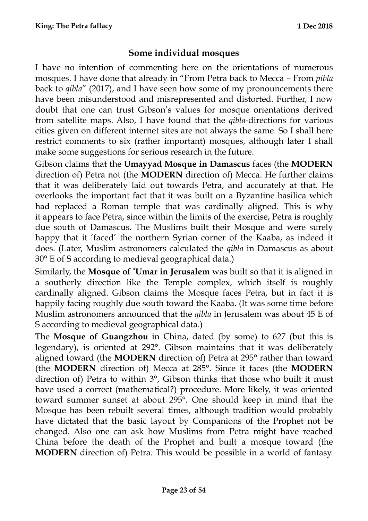## <span id="page-22-0"></span>**Some individual mosques**

I have no intention of commenting here on the orientations of numerous mosques. I have done that already in "From Petra back to Mecca – From *pibla* back to *qibla*" (2017), and I have seen how some of my pronouncements there have been misunderstood and misrepresented and distorted. Further, I now doubt that one can trust Gibson's values for mosque orientations derived from satellite maps. Also, I have found that the *qibla*-directions for various cities given on different internet sites are not always the same. So I shall here restrict comments to six (rather important) mosques, although later I shall make some suggestions for serious research in the future.

Gibson claims that the **Umayyad Mosque in Damascus** faces (the **MODERN** direction of) Petra not (the **MODERN** direction of) Mecca. He further claims that it was deliberately laid out towards Petra, and accurately at that. He overlooks the important fact that it was built on a Byzantine basilica which had replaced a Roman temple that was cardinally aligned. This is why it appears to face Petra, since within the limits of the exercise, Petra is roughly due south of Damascus. The Muslims built their Mosque and were surely happy that it 'faced' the northern Syrian corner of the Kaaba, as indeed it does. (Later, Muslim astronomers calculated the *qibla* in Damascus as about 30° E of S according to medieval geographical data.)

Similarly, the **Mosque of ʿUmar in Jerusalem** was built so that it is aligned in a southerly direction like the Temple complex, which itself is roughly cardinally aligned. Gibson claims the Mosque faces Petra, but in fact it is happily facing roughly due south toward the Kaaba. (It was some time before Muslim astronomers announced that the *qibla* in Jerusalem was about 45 E of S according to medieval geographical data.)

The **Mosque of Guangzhou** in China, dated (by some) to 627 (but this is legendary), is oriented at 292°. Gibson maintains that it was deliberately aligned toward (the **MODERN** direction of) Petra at 295° rather than toward (the **MODERN** direction of) Mecca at 285°. Since it faces (the **MODERN** direction of) Petra to within 3°, Gibson thinks that those who built it must have used a correct (mathematical?) procedure. More likely, it was oriented toward summer sunset at about 295°. One should keep in mind that the Mosque has been rebuilt several times, although tradition would probably have dictated that the basic layout by Companions of the Prophet not be changed. Also one can ask how Muslims from Petra might have reached China before the death of the Prophet and built a mosque toward (the **MODERN** direction of) Petra. This would be possible in a world of fantasy.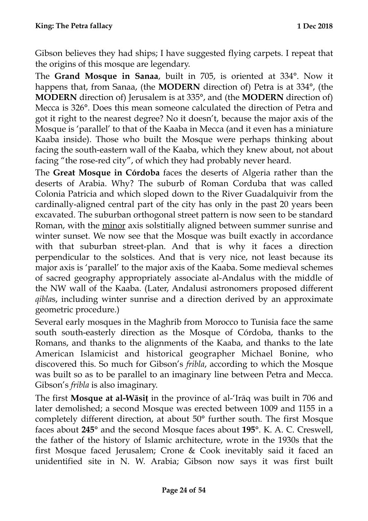Gibson believes they had ships; I have suggested flying carpets. I repeat that the origins of this mosque are legendary.

The **Grand Mosque in Sanaa**, built in 705, is oriented at 334°. Now it happens that, from Sanaa, (the **MODERN** direction of) Petra is at 334°, (the **MODERN** direction of) Jerusalem is at 335°, and (the **MODERN** direction of) Mecca is 326°. Does this mean someone calculated the direction of Petra and got it right to the nearest degree? No it doesn't, because the major axis of the Mosque is 'parallel' to that of the Kaaba in Mecca (and it even has a miniature Kaaba inside). Those who built the Mosque were perhaps thinking about facing the south-eastern wall of the Kaaba, which they knew about, not about facing "the rose-red city", of which they had probably never heard.

The **Great Mosque in Córdoba** faces the deserts of Algeria rather than the deserts of Arabia. Why? The suburb of Roman Corduba that was called Colonia Patricia and which sloped down to the River Guadalquivir from the cardinally-aligned central part of the city has only in the past 20 years been excavated. The suburban orthogonal street pattern is now seen to be standard Roman, with the minor axis solstitially aligned between summer sunrise and winter sunset. We now see that the Mosque was built exactly in accordance with that suburban street-plan. And that is why it faces a direction perpendicular to the solstices. And that is very nice, not least because its major axis is 'parallel' to the major axis of the Kaaba. Some medieval schemes of sacred geography appropriately associate al-Andalus with the middle of the NW wall of the Kaaba. (Later, Andalusī astronomers proposed different *qibla*s, including winter sunrise and a direction derived by an approximate geometric procedure.)

Several early mosques in the Maghrib from Morocco to Tunisia face the same south south-easterly direction as the Mosque of Córdoba, thanks to the Romans, and thanks to the alignments of the Kaaba, and thanks to the late American Islamicist and historical geographer Michael Bonine, who discovered this. So much for Gibson's *fribla*, according to which the Mosque was built so as to be parallel to an imaginary line between Petra and Mecca. Gibson's *fribla* is also imaginary.

The first **Mosque at al-Wāsiṭ** in the province of al-'Irāq was built in 706 and later demolished; a second Mosque was erected between 1009 and 1155 in a completely different direction, at about 50° further south. The first Mosque faces about **245°** and the second Mosque faces about **195°**. K. A. C. Creswell, the father of the history of Islamic architecture, wrote in the 1930s that the first Mosque faced Jerusalem; Crone & Cook inevitably said it faced an unidentified site in N. W. Arabia; Gibson now says it was first built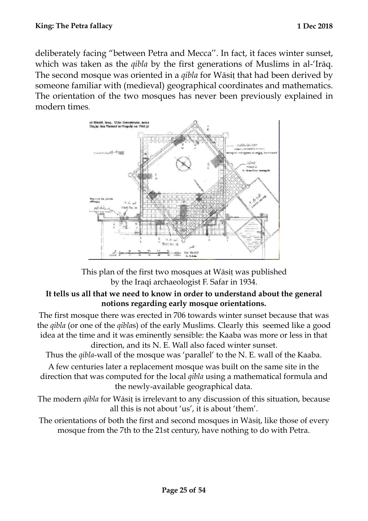deliberately facing "between Petra and Mecca''. In fact, it faces winter sunset, which was taken as the *qibla* by the first generations of Muslims in al-'Irāq. The second mosque was oriented in a *qibla* for Wāsit that had been derived by someone familiar with (medieval) geographical coordinates and mathematics. The orientation of the two mosques has never been previously explained in modern times.



This plan of the first two mosques at Wāsiṭ was published by the Iraqi archaeologist F. Safar in 1934.

#### **It tells us all that we need to know in order to understand about the general notions regarding early mosque orientations.**

The first mosque there was erected in 706 towards winter sunset because that was the *qibla* (or one of the *qibla*s) of the early Muslims. Clearly this seemed like a good idea at the time and it was eminently sensible: the Kaaba was more or less in that direction, and its N. E. Wall also faced winter sunset.

Thus the *qibla*-wall of the mosque was 'parallel' to the N. E. wall of the Kaaba.

A few centuries later a replacement mosque was built on the same site in the direction that was computed for the local *qibla* using a mathematical formula and the newly-available geographical data.

The modern *qibla* for Wāsiṭ is irrelevant to any discussion of this situation, because all this is not about 'us', it is about 'them'.

The orientations of both the first and second mosques in Wāsiṭ, like those of every mosque from the 7th to the 21st century, have nothing to do with Petra.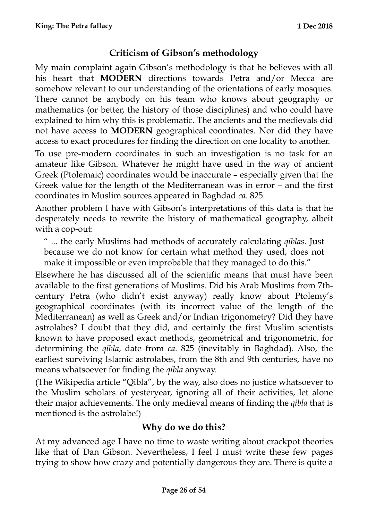## <span id="page-25-0"></span>**Criticism of Gibson's methodology**

My main complaint again Gibson's methodology is that he believes with all his heart that **MODERN** directions towards Petra and/or Mecca are somehow relevant to our understanding of the orientations of early mosques. There cannot be anybody on his team who knows about geography or mathematics (or better, the history of those disciplines) and who could have explained to him why this is problematic. The ancients and the medievals did not have access to **MODERN** geographical coordinates. Nor did they have access to exact procedures for finding the direction on one locality to another.

To use pre-modern coordinates in such an investigation is no task for an amateur like Gibson. Whatever he might have used in the way of ancient Greek (Ptolemaic) coordinates would be inaccurate – especially given that the Greek value for the length of the Mediterranean was in error – and the first coordinates in Muslim sources appeared in Baghdad *ca*. 825.

Another problem I have with Gibson's interpretations of this data is that he desperately needs to rewrite the history of mathematical geography, albeit with a cop-out:

" ... the early Muslims had methods of accurately calculating *qibla*s. Just because we do not know for certain what method they used, does not make it impossible or even improbable that they managed to do this."

Elsewhere he has discussed all of the scientific means that must have been available to the first generations of Muslims. Did his Arab Muslims from 7thcentury Petra (who didn't exist anyway) really know about Ptolemy's geographical coordinates (with its incorrect value of the length of the Mediterranean) as well as Greek and/or Indian trigonometry? Did they have astrolabes? I doubt that they did, and certainly the first Muslim scientists known to have proposed exact methods, geometrical and trigonometric, for determining the *qibla*, date from *ca*. 825 (inevitably in Baghdad). Also, the earliest surviving Islamic astrolabes, from the 8th and 9th centuries, have no means whatsoever for finding the *qibla* anyway.

(The Wikipedia article "Qibla", by the way, also does no justice whatsoever to the Muslim scholars of yesteryear, ignoring all of their activities, let alone their major achievements. The only medieval means of finding the *qibla* that is mentioned is the astrolabe!)

## <span id="page-25-1"></span>**Why do we do this?**

At my advanced age I have no time to waste writing about crackpot theories like that of Dan Gibson. Nevertheless, I feel I must write these few pages trying to show how crazy and potentially dangerous they are. There is quite a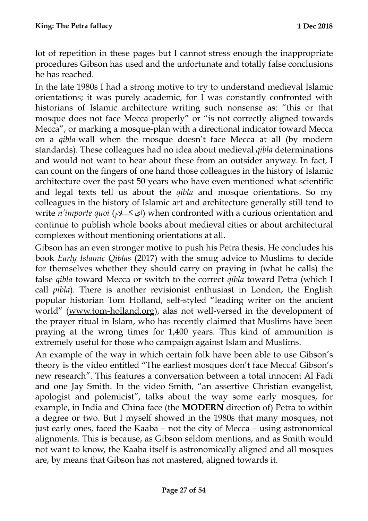lot of repetition in these pages but I cannot stress enough the inappropriate procedures Gibson has used and the unfortunate and totally false conclusions he has reached.

In the late 1980s I had a strong motive to try to understand medieval Islamic orientations; it was purely academic, for I was constantly confronted with historians of Islamic architecture writing such nonsense as: "this or that mosque does not face Mecca properly" or "is not correctly aligned towards Mecca", or marking a mosque-plan with a directional indicator toward Mecca on a *qibla*-wall when the mosque doesn't face Mecca at all (by modern standards). These colleagues had no idea about medieval *qibla* determinations and would not want to hear about these from an outsider anyway. In fact, I can count on the fingers of one hand those colleagues in the history of Islamic architecture over the past 50 years who have even mentioned what scientific and legal texts tell us about the *qibla* and mosque orientations. So my colleagues in the history of Islamic art and architecture generally still tend to write *n'importe quoi* (اي كلام) when confronted with a curious orientation and continue to publish whole books about medieval cities or about architectural complexes without mentioning orientations at all.

Gibson has an even stronger motive to push his Petra thesis. He concludes his book *Early Islamic Qiblas* (2017) with the smug advice to Muslims to decide for themselves whether they should carry on praying in (what he calls) the false *qibla* toward Mecca or switch to the correct *qibla* toward Petra (which I call *pibla*). There is another revisionist enthusiast in London, the English popular historian Tom Holland, self-styled "leading writer on the ancient world" [\(www.tom-holland.org\)](http://www.tom-holland.org), alas not well-versed in the development of the prayer ritual in Islam, who has recently claimed that Muslims have been praying at the wrong times for 1,400 years. This kind of ammunition is extremely useful for those who campaign against Islam and Muslims.

An example of the way in which certain folk have been able to use Gibson's theory is the video entitled "The earliest mosques don't face Mecca! Gibson's new research". This features a conversation between a total innocent Al Fadi and one Jay Smith. In the video Smith, "an assertive Christian evangelist, apologist and polemicist", talks about the way some early mosques, for example, in India and China face (the **MODERN** direction of) Petra to within a degree or two. But I myself showed in the 1980s that many mosques, not just early ones, faced the Kaaba – not the city of Mecca – using astronomical alignments. This is because, as Gibson seldom mentions, and as Smith would not want to know, the Kaaba itself is astronomically aligned and all mosques are, by means that Gibson has not mastered, aligned towards it.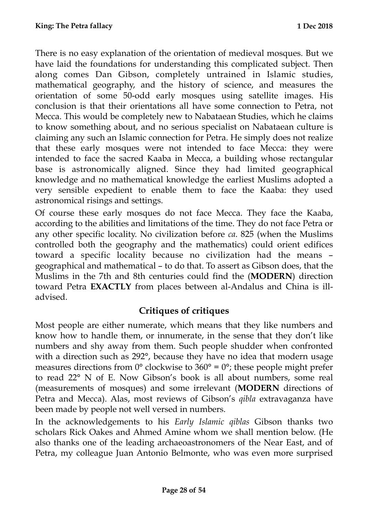There is no easy explanation of the orientation of medieval mosques. But we have laid the foundations for understanding this complicated subject. Then along comes Dan Gibson, completely untrained in Islamic studies, mathematical geography, and the history of science, and measures the orientation of some 50-odd early mosques using satellite images. His conclusion is that their orientations all have some connection to Petra, not Mecca. This would be completely new to Nabataean Studies, which he claims to know something about, and no serious specialist on Nabataean culture is claiming any such an Islamic connection for Petra. He simply does not realize that these early mosques were not intended to face Mecca: they were intended to face the sacred Kaaba in Mecca, a building whose rectangular base is astronomically aligned. Since they had limited geographical knowledge and no mathematical knowledge the earliest Muslims adopted a very sensible expedient to enable them to face the Kaaba: they used astronomical risings and settings.

Of course these early mosques do not face Mecca. They face the Kaaba, according to the abilities and limitations of the time. They do not face Petra or any other specific locality. No civilization before *ca*. 825 (when the Muslims controlled both the geography and the mathematics) could orient edifices toward a specific locality because no civilization had the means – geographical and mathematical – to do that. To assert as Gibson does, that the Muslims in the 7th and 8th centuries could find the (**MODERN**) direction toward Petra **EXACTLY** from places between al-Andalus and China is illadvised.

## <span id="page-27-0"></span>**Critiques of critiques**

Most people are either numerate, which means that they like numbers and know how to handle them, or innumerate, in the sense that they don't like numbers and shy away from them. Such people shudder when confronted with a direction such as 292°, because they have no idea that modern usage measures directions from  $0^{\circ}$  clockwise to  $360^{\circ} = 0^{\circ}$ ; these people might prefer to read 22° N of E. Now Gibson's book is all about numbers, some real (measurements of mosques) and some irrelevant (**MODERN** directions of Petra and Mecca). Alas, most reviews of Gibson's *qibla* extravaganza have been made by people not well versed in numbers.

In the acknowledgements to his *Early Islamic qiblas* Gibson thanks two scholars Rick Oakes and Ahmed Amine whom we shall mention below. (He also thanks one of the leading archaeoastronomers of the Near East, and of Petra, my colleague Juan Antonio Belmonte, who was even more surprised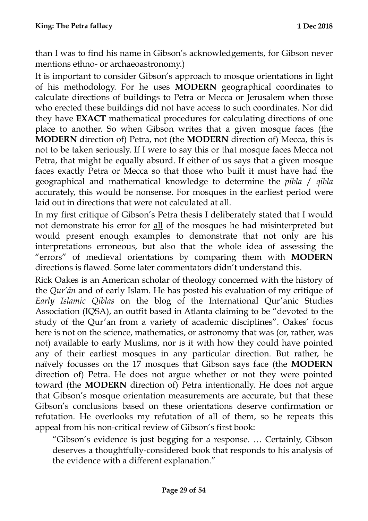than I was to find his name in Gibson's acknowledgements, for Gibson never mentions ethno- or archaeoastronomy.)

It is important to consider Gibson's approach to mosque orientations in light of his methodology. For he uses **MODERN** geographical coordinates to calculate directions of buildings to Petra or Mecca or Jerusalem when those who erected these buildings did not have access to such coordinates. Nor did they have **EXACT** mathematical procedures for calculating directions of one place to another. So when Gibson writes that a given mosque faces (the **MODERN** direction of) Petra, not (the **MODERN** direction of) Mecca, this is not to be taken seriously. If I were to say this or that mosque faces Mecca not Petra, that might be equally absurd. If either of us says that a given mosque faces exactly Petra or Mecca so that those who built it must have had the geographical and mathematical knowledge to determine the *pibla* / *qibla* accurately, this would be nonsense. For mosques in the earliest period were laid out in directions that were not calculated at all.

In my first critique of Gibson's Petra thesis I deliberately stated that I would not demonstrate his error for all of the mosques he had misinterpreted but would present enough examples to demonstrate that not only are his interpretations erroneous, but also that the whole idea of assessing the "errors" of medieval orientations by comparing them with **MODERN** directions is flawed. Some later commentators didn't understand this.

Rick Oakes is an American scholar of theology concerned with the history of the *Qur'ān* and of early Islam. He has posted his evaluation of my critique of *Early Islamic Qiblas* on the blog of the International Qur'anic Studies Association (IQSA), an outfit based in Atlanta claiming to be "devoted to the study of the Qur'an from a variety of academic disciplines". Oakes' focus here is not on the science, mathematics, or astronomy that was (or, rather, was not) available to early Muslims, nor is it with how they could have pointed any of their earliest mosques in any particular direction. But rather, he naïvely focusses on the 17 mosques that Gibson says face (the **MODERN** direction of) Petra. He does not argue whether or not they were pointed toward (the **MODERN** direction of) Petra intentionally. He does not argue that Gibson's mosque orientation measurements are accurate, but that these Gibson's conclusions based on these orientations deserve confirmation or refutation. He overlooks my refutation of all of them, so he repeats this appeal from his non-critical review of Gibson's first book:

"Gibson's evidence is just begging for a response. … Certainly, Gibson deserves a thoughtfully-considered book that responds to his analysis of the evidence with a different explanation."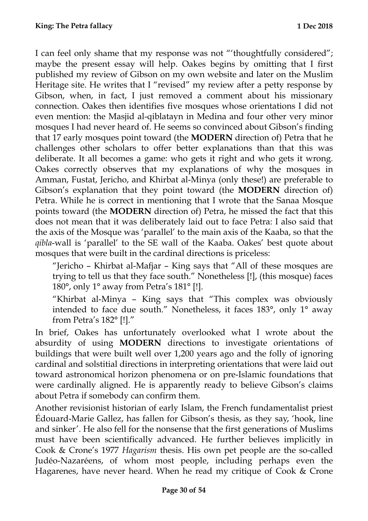I can feel only shame that my response was not "'thoughtfully considered"; maybe the present essay will help. Oakes begins by omitting that I first published my review of Gibson on my own website and later on the Muslim Heritage site. He writes that I "revised" my review after a petty response by Gibson, when, in fact, I just removed a comment about his missionary connection. Oakes then identifies five mosques whose orientations I did not even mention: the Masjid al-qiblatayn in Medina and four other very minor mosques I had never heard of. He seems so convinced about Gibson's finding that 17 early mosques point toward (the **MODERN** direction of) Petra that he challenges other scholars to offer better explanations than that this was deliberate. It all becomes a game: who gets it right and who gets it wrong. Oakes correctly observes that my explanations of why the mosques in Amman, Fustat, Jericho, and Khirbat al-Minya (only these!) are preferable to Gibson's explanation that they point toward (the **MODERN** direction of) Petra. While he is correct in mentioning that I wrote that the Sanaa Mosque points toward (the **MODERN** direction of) Petra, he missed the fact that this does not mean that it was deliberately laid out to face Petra: I also said that the axis of the Mosque was 'parallel' to the main axis of the Kaaba, so that the *qibla*-wall is 'parallel' to the SE wall of the Kaaba. Oakes' best quote about mosques that were built in the cardinal directions is priceless:

"Jericho – Khirbat al-Mafjar – King says that "All of these mosques are trying to tell us that they face south." Nonetheless [!], (this mosque) faces 180°, only 1° away from Petra's 181° [!].

"Khirbat al-Minya – King says that "This complex was obviously intended to face due south." Nonetheless, it faces 183°, only 1° away from Petra's 182° [!]."

In brief, Oakes has unfortunately overlooked what I wrote about the absurdity of using **MODERN** directions to investigate orientations of buildings that were built well over 1,200 years ago and the folly of ignoring cardinal and solstitial directions in interpreting orientations that were laid out toward astronomical horizon phenomena or on pre-Islamic foundations that were cardinally aligned. He is apparently ready to believe Gibson's claims about Petra if somebody can confirm them.

Another revisionist historian of early Islam, the French fundamentalist priest Édouard-Marie Gallez, has fallen for Gibson's thesis, as they say, 'hook, line and sinker'. He also fell for the nonsense that the first generations of Muslims must have been scientifically advanced. He further believes implicitly in Cook & Crone's 1977 *Hagarism* thesis. His own pet people are the so-called Judéo-Nazaréens, of whom most people, including perhaps even the Hagarenes, have never heard. When he read my critique of Cook & Crone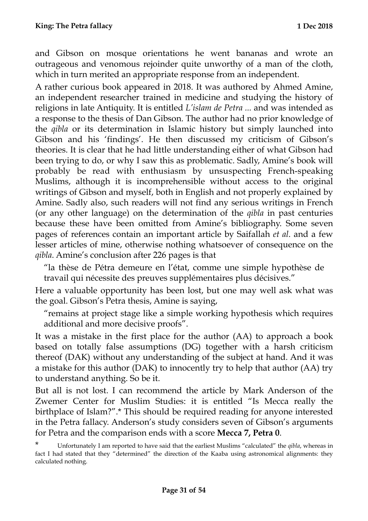and Gibson on mosque orientations he went bananas and wrote an outrageous and venomous rejoinder quite unworthy of a man of the cloth, which in turn merited an appropriate response from an independent.

A rather curious book appeared in 2018. It was authored by Ahmed Amine, an independent researcher trained in medicine and studying the history of religions in late Antiquity. It is entitled *L'islam de Petra ...* and was intended as a response to the thesis of Dan Gibson. The author had no prior knowledge of the *qibla* or its determination in Islamic history but simply launched into Gibson and his 'findings'. He then discussed my criticism of Gibson's theories. It is clear that he had little understanding either of what Gibson had been trying to do, or why I saw this as problematic. Sadly, Amine's book will probably be read with enthusiasm by unsuspecting French-speaking Muslims, although it is incomprehensible without access to the original writings of Gibson and myself, both in English and not properly explained by Amine. Sadly also, such readers will not find any serious writings in French (or any other language) on the determination of the *qibla* in past centuries because these have been omitted from Amine's bibliography. Some seven pages of references contain an important article by Saifallah *et al*. and a few lesser articles of mine, otherwise nothing whatsoever of consequence on the *qibla*. Amine's conclusion after 226 pages is that

"la thèse de Pétra demeure en l'état, comme une simple hypothèse de travail qui nécessite des preuves supplémentaires plus décisives."

Here a valuable opportunity has been lost, but one may well ask what was the goal. Gibson's Petra thesis, Amine is saying,

"remains at project stage like a simple working hypothesis which requires additional and more decisive proofs".

It was a mistake in the first place for the author (AA) to approach a book based on totally false assumptions (DG) together with a harsh criticism thereof (DAK) without any understanding of the subject at hand. And it was a mistake for this author (DAK) to innocently try to help that author (AA) try to understand anything. So be it.

But all is not lost. I can recommend the article by Mark Anderson of the Zwemer Center for Muslim Studies: it is entitled "Is Mecca really the birthplace of Islam?".\* This should be required reading for anyone interested in the Petra fallacy. Anderson's study considers seven of Gibson's arguments for Petra and the comparison ends with a score **Mecca 7, Petra 0**.

<sup>\*</sup> Unfortunately I am reported to have said that the earliest Muslims "calculated" the *qibla*, whereas in fact I had stated that they "determined" the direction of the Kaaba using astronomical alignments: they calculated nothing.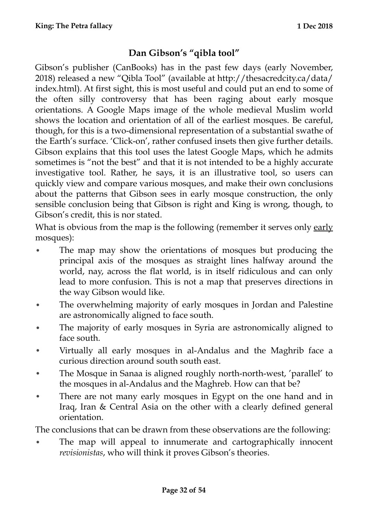## <span id="page-31-0"></span>**Dan Gibson's "qibla tool"**

Gibson's publisher (CanBooks) has in the past few days (early November, 2018) released a new "Qibla Tool" (available at http://thesacredcity.ca/data/ index.html). At first sight, this is most useful and could put an end to some of the often silly controversy that has been raging about early mosque orientations. A Google Maps image of the whole medieval Muslim world shows the location and orientation of all of the earliest mosques. Be careful, though, for this is a two-dimensional representation of a substantial swathe of the Earth's surface. 'Click-on', rather confused insets then give further details. Gibson explains that this tool uses the latest Google Maps, which he admits sometimes is "not the best" and that it is not intended to be a highly accurate investigative tool. Rather, he says, it is an illustrative tool, so users can quickly view and compare various mosques, and make their own conclusions about the patterns that Gibson sees in early mosque construction, the only sensible conclusion being that Gibson is right and King is wrong, though, to Gibson's credit, this is nor stated.

What is obvious from the map is the following (remember it serves only early mosques):

- The map may show the orientations of mosques but producing the principal axis of the mosques as straight lines halfway around the world, nay, across the flat world, is in itself ridiculous and can only lead to more confusion. This is not a map that preserves directions in the way Gibson would like.
- The overwhelming majority of early mosques in Jordan and Palestine are astronomically aligned to face south.
- The majority of early mosques in Syria are astronomically aligned to face south.
- Virtually all early mosques in al-Andalus and the Maghrib face a curious direction around south south east.
- The Mosque in Sanaa is aligned roughly north-north-west, 'parallel' to the mosques in al-Andalus and the Maghreb. How can that be?
- There are not many early mosques in Egypt on the one hand and in Iraq, Iran & Central Asia on the other with a clearly defined general orientation.

The conclusions that can be drawn from these observations are the following:

• The map will appeal to innumerate and cartographically innocent *revisionistas*, who will think it proves Gibson's theories.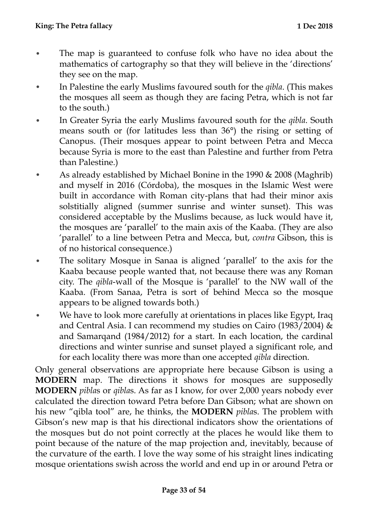- The map is guaranteed to confuse folk who have no idea about the mathematics of cartography so that they will believe in the 'directions' they see on the map.
- In Palestine the early Muslims favoured south for the *qibla*. (This makes the mosques all seem as though they are facing Petra, which is not far to the south.)
- In Greater Syria the early Muslims favoured south for the *qibla*. South means south or (for latitudes less than 36°) the rising or setting of Canopus. (Their mosques appear to point between Petra and Mecca because Syria is more to the east than Palestine and further from Petra than Palestine.)
- As already established by Michael Bonine in the 1990 & 2008 (Maghrib) and myself in 2016 (Córdoba), the mosques in the Islamic West were built in accordance with Roman city-plans that had their minor axis solstitially aligned (summer sunrise and winter sunset). This was considered acceptable by the Muslims because, as luck would have it, the mosques are 'parallel' to the main axis of the Kaaba. (They are also 'parallel' to a line between Petra and Mecca, but, *contra* Gibson, this is of no historical consequence.)
- The solitary Mosque in Sanaa is aligned 'parallel' to the axis for the Kaaba because people wanted that, not because there was any Roman city. The *qibla*-wall of the Mosque is 'parallel' to the NW wall of the Kaaba. (From Sanaa, Petra is sort of behind Mecca so the mosque appears to be aligned towards both.)
- We have to look more carefully at orientations in places like Egypt, Iraq and Central Asia. I can recommend my studies on Cairo (1983/2004) & and Samarqand (1984/2012) for a start. In each location, the cardinal directions and winter sunrise and sunset played a significant role, and for each locality there was more than one accepted *qibla* direction.

Only general observations are appropriate here because Gibson is using a **MODERN** map. The directions it shows for mosques are supposedly **MODERN** *pibla*s or *qibla*s. As far as I know, for over 2,000 years nobody ever calculated the direction toward Petra before Dan Gibson; what are shown on his new "qibla tool" are, he thinks, the **MODERN** *pibla*s. The problem with Gibson's new map is that his directional indicators show the orientations of the mosques but do not point correctly at the places he would like them to point because of the nature of the map projection and, inevitably, because of the curvature of the earth. I love the way some of his straight lines indicating mosque orientations swish across the world and end up in or around Petra or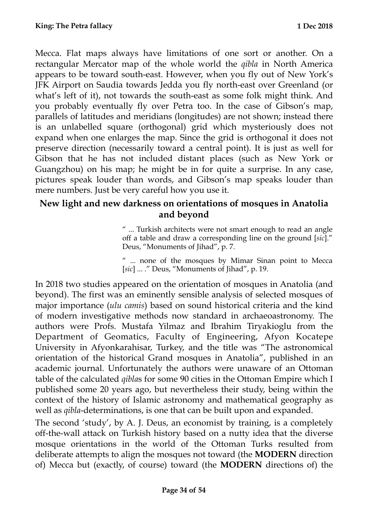Mecca. Flat maps always have limitations of one sort or another. On a rectangular Mercator map of the whole world the *qibla* in North America appears to be toward south-east. However, when you fly out of New York's JFK Airport on Saudia towards Jedda you fly north-east over Greenland (or what's left of it), not towards the south-east as some folk might think. And you probably eventually fly over Petra too. In the case of Gibson's map, parallels of latitudes and meridians (longitudes) are not shown; instead there is an unlabelled square (orthogonal) grid which mysteriously does not expand when one enlarges the map. Since the grid is orthogonal it does not preserve direction (necessarily toward a central point). It is just as well for Gibson that he has not included distant places (such as New York or Guangzhou) on his map; he might be in for quite a surprise. In any case, pictures speak louder than words, and Gibson's map speaks louder than mere numbers. Just be very careful how you use it.

#### <span id="page-33-0"></span>**New light and new darkness on orientations of mosques in Anatolia and beyond**

" ... Turkish architects were not smart enough to read an angle off a table and draw a corresponding line on the ground [*sic*]." Deus, "Monuments of Jihad", p. 7.

" ... none of the mosques by Mimar Sinan point to Mecca [*sic*] ... ." Deus, "Monuments of Jihad", p. 19.

In 2018 two studies appeared on the orientation of mosques in Anatolia (and beyond). The first was an eminently sensible analysis of selected mosques of major importance (*ulu camis*) based on sound historical criteria and the kind of modern investigative methods now standard in archaeoastronomy. The authors were Profs. Mustafa Yilmaz and Ibrahim Tiryakioglu from the Department of Geomatics, Faculty of Engineering, Afyon Kocatepe University in Afyonkarahisar, Turkey, and the title was "The astronomical orientation of the historical Grand mosques in Anatolia", published in an academic journal. Unfortunately the authors were unaware of an Ottoman table of the calculated *qibla*s for some 90 cities in the Ottoman Empire which I published some 20 years ago, but nevertheless their study, being within the context of the history of Islamic astronomy and mathematical geography as well as *qibla*-determinations, is one that can be built upon and expanded.

The second 'study', by A. J. Deus, an economist by training, is a completely off-the-wall attack on Turkish history based on a nutty idea that the diverse mosque orientations in the world of the Ottoman Turks resulted from deliberate attempts to align the mosques not toward (the **MODERN** direction of) Mecca but (exactly, of course) toward (the **MODERN** directions of) the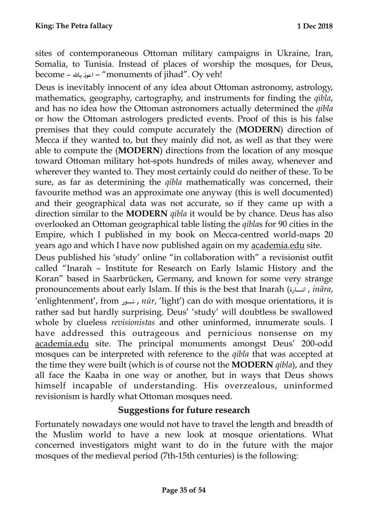sites of contemporaneous Ottoman military campaigns in Ukraine, Iran, Somalia, to Tunisia. Instead of places of worship the mosques, for Deus, become – بال اعوذ" – monuments of jihad". Oy veh!

Deus is inevitably innocent of any idea about Ottoman astronomy, astrology, mathematics, geography, cartography, and instruments for finding the *qibla*, and has no idea how the Ottoman astronomers actually determined the *qibla*  or how the Ottoman astrologers predicted events*.* Proof of this is his false premises that they could compute accurately the (**MODERN**) direction of Mecca if they wanted to, but they mainly did not, as well as that they were able to compute the (**MODERN**) directions from the location of any mosque toward Ottoman military hot-spots hundreds of miles away, whenever and wherever they wanted to. They most certainly could do neither of these. To be sure, as far as determining the *qibla* mathematically was concerned, their favourite method was an approximate one anyway (this is well documented) and their geographical data was not accurate, so if they came up with a direction similar to the **MODERN** *qibla* it would be by chance. Deus has also overlooked an Ottoman geographical table listing the *qibla*s for 90 cities in the Empire, which I published in my book on Mecca-centred world-maps 20 years ago and which I have now published again on my [academia.edu](http://academia.edu) site.

Deus published his 'study' online "in collaboration with" a revisionist outfit called "Inarah – Institute for Research on Early Islamic History and the Koran" based in Saarbrücken, Germany, and known for some very strange pronouncements about early Islam. If this is the best that Inarah (انسارة, *ināra*, 'enlightenment', from  $\mu$   $\mu$ *ī*<sup>*x*</sup>, 'light') can do with mosque orientations, it is rather sad but hardly surprising. Deus' 'study' will doubtless be swallowed whole by clueless *revisionistas* and other uninformed, innumerate souls. I have addressed this outrageous and pernicious nonsense on my [academia.edu](http://academia.edu) site. The principal monuments amongst Deus' 200-odd mosques can be interpreted with reference to the *qibla* that was accepted at the time they were built (which is of course not the **MODERN** *qibla*), and they all face the Kaaba in one way or another, but in ways that Deus shows himself incapable of understanding. His overzealous, uninformed revisionism is hardly what Ottoman mosques need.

#### <span id="page-34-0"></span>**Suggestions for future research**

Fortunately nowadays one would not have to travel the length and breadth of the Muslim world to have a new look at mosque orientations. What concerned investigators might want to do in the future with the major mosques of the medieval period (7th-15th centuries) is the following: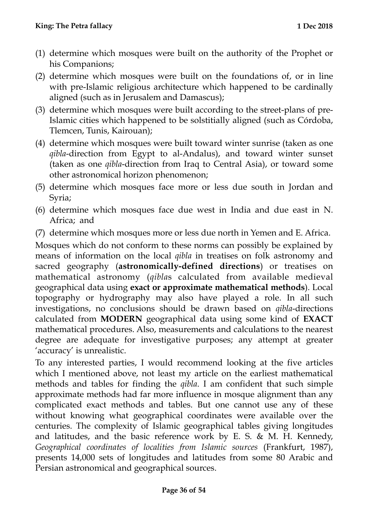- (1) determine which mosques were built on the authority of the Prophet or his Companions;
- (2) determine which mosques were built on the foundations of, or in line with pre-Islamic religious architecture which happened to be cardinally aligned (such as in Jerusalem and Damascus);
- (3) determine which mosques were built according to the street-plans of pre-Islamic cities which happened to be solstitially aligned (such as Córdoba, Tlemcen, Tunis, Kairouan);
- (4) determine which mosques were built toward winter sunrise (taken as one *qibla*-direction from Egypt to al-Andalus), and toward winter sunset (taken as one *qibla*-direction from Iraq to Central Asia), or toward some other astronomical horizon phenomenon;
- (5) determine which mosques face more or less due south in Jordan and Syria;
- (6) determine which mosques face due west in India and due east in N. Africa; and
- (7) determine which mosques more or less due north in Yemen and E. Africa.

Mosques which do not conform to these norms can possibly be explained by means of information on the local *qibla* in treatises on folk astronomy and sacred geography (**astronomically-defined directions**) or treatises on mathematical astronomy (*qibla*s calculated from available medieval geographical data using **exact or approximate mathematical methods**). Local topography or hydrography may also have played a role. In all such investigations, no conclusions should be drawn based on *qibla*-directions calculated from **MODERN** geographical data using some kind of **EXACT** mathematical procedures. Also, measurements and calculations to the nearest degree are adequate for investigative purposes; any attempt at greater 'accuracy' is unrealistic.

To any interested parties, I would recommend looking at the five articles which I mentioned above, not least my article on the earliest mathematical methods and tables for finding the *qibla*. I am confident that such simple approximate methods had far more influence in mosque alignment than any complicated exact methods and tables. But one cannot use any of these without knowing what geographical coordinates were available over the centuries. The complexity of Islamic geographical tables giving longitudes and latitudes, and the basic reference work by E. S. & M. H. Kennedy, *Geographical coordinates of localities from Islamic sources* (Frankfurt, 1987), presents 14,000 sets of longitudes and latitudes from some 80 Arabic and Persian astronomical and geographical sources.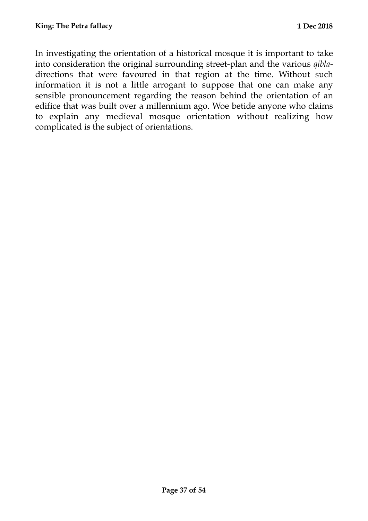In investigating the orientation of a historical mosque it is important to take into consideration the original surrounding street-plan and the various *qibla*directions that were favoured in that region at the time. Without such information it is not a little arrogant to suppose that one can make any sensible pronouncement regarding the reason behind the orientation of an edifice that was built over a millennium ago. Woe betide anyone who claims to explain any medieval mosque orientation without realizing how complicated is the subject of orientations.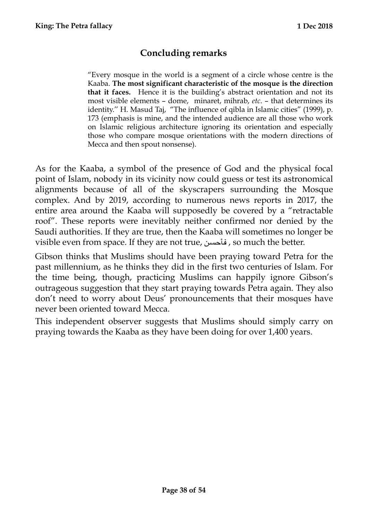## <span id="page-37-0"></span>**Concluding remarks**

"Every mosque in the world is a segment of a circle whose centre is the Kaaba. **The most significant characteristic of the mosque is the direction that it faces.** Hence it is the building's abstract orientation and not its most visible elements – dome, minaret, mihrab, *etc*. – that determines its identity.'' H. Masud Taj, "The influence of qibla in Islamic cities" (1999), p. 173 (emphasis is mine, and the intended audience are all those who work on Islamic religious architecture ignoring its orientation and especially those who compare mosque orientations with the modern directions of Mecca and then spout nonsense).

As for the Kaaba, a symbol of the presence of God and the physical focal point of Islam, nobody in its vicinity now could guess or test its astronomical alignments because of all of the skyscrapers surrounding the Mosque complex. And by 2019, according to numerous news reports in 2017, the entire area around the Kaaba will supposedly be covered by a "retractable roof". These reports were inevitably neither confirmed nor denied by the Saudi authorities. If they are true, then the Kaaba will sometimes no longer be visible even from space. If they are not true, فأحسن , so much the better.

Gibson thinks that Muslims should have been praying toward Petra for the past millennium, as he thinks they did in the first two centuries of Islam. For the time being, though, practicing Muslims can happily ignore Gibson's outrageous suggestion that they start praying towards Petra again. They also don't need to worry about Deus' pronouncements that their mosques have never been oriented toward Mecca.

This independent observer suggests that Muslims should simply carry on praying towards the Kaaba as they have been doing for over 1,400 years.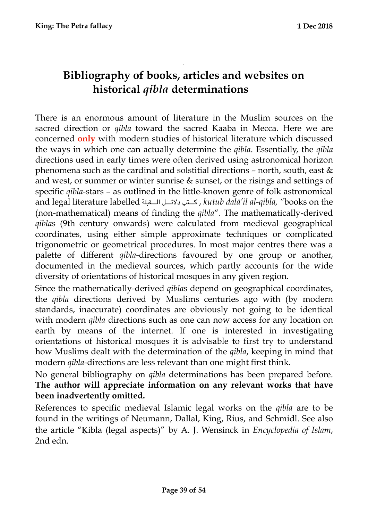## <span id="page-38-1"></span>**Bibliography of books, articles and websites on historical** *qibla* **determinations**

<span id="page-38-0"></span>**.** 

There is an enormous amount of literature in the Muslim sources on the sacred direction or *qibla* toward the sacred Kaaba in Mecca. Here we are concerned **only** with modern studies of historical literature which discussed the ways in which one can actually determine the *qibla*. Essentially, the *qibla* directions used in early times were often derived using astronomical horizon phenomena such as the cardinal and solstitial directions – north, south, east & and west, or summer or winter sunrise & sunset, or the risings and settings of specific *qibla*-stars – as outlined in the little-known genre of folk astronomical and legal literature labelled قبلة\$ \$ \$ \$ \$ \$ \$ \$ال ل\$ \$ \$ \$ \$ \$ \$ \$دلئ تب\$ \$ \$ \$ \$ \$ \$ \$ك , *kutub dalā'il al-qibla, "*books on the (non-mathematical) means of finding the *qibla*". The mathematically-derived *qibla*s (9th century onwards) were calculated from medieval geographical coordinates, using either simple approximate techniques or complicated trigonometric or geometrical procedures. In most major centres there was a palette of different *qibla*-directions favoured by one group or another, documented in the medieval sources, which partly accounts for the wide diversity of orientations of historical mosques in any given region.

Since the mathematically-derived *qibla*s depend on geographical coordinates, the *qibla* directions derived by Muslims centuries ago with (by modern standards, inaccurate) coordinates are obviously not going to be identical with modern *qibla* directions such as one can now access for any location on earth by means of the internet. If one is interested in investigating orientations of historical mosques it is advisable to first try to understand how Muslims dealt with the determination of the *qibla*, keeping in mind that modern *qibla*-directions are less relevant than one might first think.

No general bibliography on *qibla* determinations has been prepared before. **The author will appreciate information on any relevant works that have been inadvertently omitted.** 

References to specific medieval Islamic legal works on the *qibla* are to be found in the writings of Neumann, Dallal, King, Rius, and Schmidl. See also the article "Ḳibla (legal aspects)" by A. J. Wensinck in *Encyclopedia of Islam*, 2nd edn.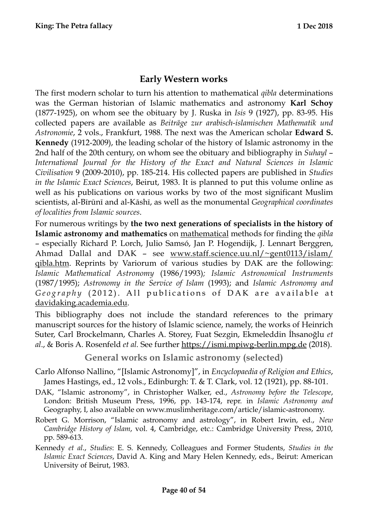#### <span id="page-39-0"></span>**Early Western works**

The first modern scholar to turn his attention to mathematical *qibla* determinations was the German historian of Islamic mathematics and astronomy **Karl Schoy** (1877-1925), on whom see the obituary by J. Ruska in *Isis* 9 (1927), pp. 83-95. His collected papers are available as *Beiträge zur arabisch-islamischen Mathematik und Astronomie*, 2 vols., Frankfurt, 1988. The next was the American scholar **Edward S. Kennedy** (1912-2009), the leading scholar of the history of Islamic astronomy in the 2nd half of the 20th century, on whom see the obituary and bibliography in *Suhayl* – *International Journal for the History of the Exact and Natural Sciences in Islamic Civilisation* 9 (2009-2010), pp. 185-214. His collected papers are published in *Studies in the Islamic Exact Sciences*, Beirut, 1983. It is planned to put this volume online as well as his publications on various works by two of the most significant Muslim scientists, al-Bīrūnī and al-Kāshī, as well as the monumental *Geographical coordinates of localities from Islamic sources*.

For numerous writings by **the two next generations of specialists in the history of Islamic astronomy and mathematics** on mathematical methods for finding the *qibla* – especially Richard P. Lorch, Julio Samsó, Jan P. Hogendijk, J. Lennart Berggren, Ahmad Dallal and DAK – see [www.staff.science.uu.nl/~gent0113/islam/](http://www.staff.science.uu.nl/~gent0113/islam/qibla.htm) [qibla.htm](http://www.staff.science.uu.nl/~gent0113/islam/qibla.htm). Reprints by Variorum of various studies by DAK are the following: *Islamic Mathematical Astronomy* (1986/1993)*; Islamic Astronomical Instruments*  (1987/1995); *Astronomy in the Service of Islam* (1993); and *Islamic Astronomy and Geography* (2012). All publications of DAK are available at [davidaking.academia.edu](http://davidaking.academia.edu).

This bibliography does not include the standard references to the primary manuscript sources for the history of Islamic science, namely, the works of Heinrich Suter, Carl Brockelmann, Charles A. Storey, Fuat Sezgin, Ekmeleddin İhsanoğlu *et al*., & Boris A. Rosenfeld *et al.* See further<https://ismi.mpiwg-berlin.mpg.de> (2018).

<span id="page-39-1"></span>**General works on Islamic astronomy (selected)** 

- Carlo Alfonso Nallino, "[Islamic Astronomy]", in *Encyclopaedia of Religion and Ethics*, James Hastings, ed., 12 vols., Edinburgh: T. & T. Clark, vol. 12 (1921), pp. 88-101.
- DAK, "Islamic astronomy", in Christopher Walker, ed., *Astronomy before the Telescope*, London: British Museum Press, 1996, pp. 143-174, repr. in *Islamic Astronomy and*  Geography, I, also available on [www.muslimheritage.com/article/islamic-astronomy.](http://www.muslimheritage.com/article/islamic-astronomy)
- Robert G. Morrison, "Islamic astronomy and astrology", in Robert Irwin, ed., *New Cambridge History of Islam*, vol. 4, Cambridge, etc.: Cambridge University Press, 2010, pp. 589-613.
- Kennedy *et al*., *Studies*: E. S. Kennedy, Colleagues and Former Students, *Studies in the Islamic Exact Sciences*, David A. King and Mary Helen Kennedy, eds., Beirut: American University of Beirut, 1983.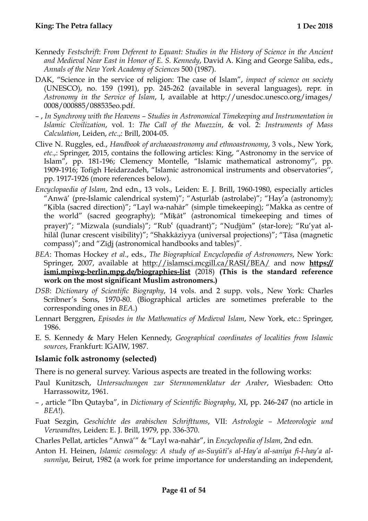- Kennedy *Festschrift*: *From Deferent to Equant: Studies in the History of Science in the Ancient and Medieval Near East in Honor of E. S. Kennedy*, David A. King and George Saliba, eds., *Annals of the New York Academy of Sciences* 500 (1987).
- DAK, "Science in the service of religion: The case of Islam", *impact of science on society* (UNESCO), no. 159 (1991), pp. 245-262 (available in several languages), repr. in *Astronomy in the Service of Islam*, I, available at http://unesdoc.unesco.org/images/ 0008/000885/088535eo.pdf.
- , *In Synchrony with the Heavens Studies in Astronomical Timekeeping and Instrumentation in Islamic Civilization*, vol. 1: *The Call of the Muezzin*, & vol. 2: *Instruments of Mass Calculation*, Leiden, *etc*.,: Brill, 2004-05.
- Clive N. Ruggles, ed., *Handbook of archaeoastronomy and ethnoastronomy*, 3 vols., New York, *etc*.,: Springer, 2015, contains the following articles: King, "Astronomy in the service of Islam", pp. 181-196; Clemency Montelle, "Islamic mathematical astronomy'', pp. 1909-1916; Tofigh Heidarzadeh, "Islamic astronomical instruments and observatories'', pp. 1917-1926 (more references below).
- *Encyclopaedia of Islam*, 2nd edn., 13 vols., Leiden: E. J. Brill, 1960-1980, especially articles "Anwā' (pre-Islamic calendrical system)"; "Asṭurlāb (astrolabe)"; "Hay'a (astronomy); "Ḳibla (sacred direction)"; "Layl wa-nahār" (simple timekeeping); "Makka as centre of the world" (sacred geography); "Mīḳāt" (astronomical timekeeping and times of prayer)"; "Mizwala (sundials)"; "Rub' (quadrant)"; "Nudjūm" (star-lore); "Ru'yat alhilāl (lunar crescent visibility)"; "Shakkāziyya (universal projections)"; "Ṭâsa (magnetic compass)"; and "Zīdj (astronomical handbooks and tables)".
- *BEA*: Thomas Hockey *et al*., eds., *The Biographical Encyclopedia of Astronomers*, New York: Springer, 2007, available at <http://islamsci.mcgill.ca/RASI/BEA/> and now **[https://](https://ismi.mpiwg-berlin.mpg.de/biographies-list) [ismi.mpiwg-berlin.mpg.de/biographies-list](https://ismi.mpiwg-berlin.mpg.de/biographies-list)** (2018) **(This is the standard reference work on the most significant Muslim astronomers.)**
- *DSB*: *Dictionary of Scientific Biography*, 14 vols. and 2 supp. vols., New York: Charles Scribner's Sons, 1970-80. (Biographical articles are sometimes preferable to the corresponding ones in *BEA*.)
- Lennart Berggren, *Episodes in the Mathematics of Medieval Islam*, New York, etc.: Springer, 1986.
- E. S. Kennedy & Mary Helen Kennedy, *Geographical coordinates of localities from Islamic sources*, Frankfurt: IGAIW, 1987.

#### <span id="page-40-0"></span>**Islamic folk astronomy (selected)**

There is no general survey. Various aspects are treated in the following works:

- Paul Kunitzsch, *Untersuchungen zur Sternnomenklatur der Araber*, Wiesbaden: Otto Harrassowitz, 1961.
- , article "Ibn Qutayba", in *Dictionary of Scientific Biography*, XI, pp. 246-247 (no article in *BEA*!).
- Fuat Sezgin, *Geschichte des arabischen Schrifttums*, VII: *Astrologie Meteorologie und Verwandtes*, Leiden: E. J. Brill, 1979, pp. 336-370.
- Charles Pellat, articles "Anwā'" & "Layl wa-nahār", in *Encyclopedia of Islam*, 2nd edn.
- Anton H. Heinen, *Islamic cosmology: A study of as-Suyūtī's al-Hay'a al-saniya fi-l-hay'a alsunnīya*, Beirut, 1982 (a work for prime importance for understanding an independent,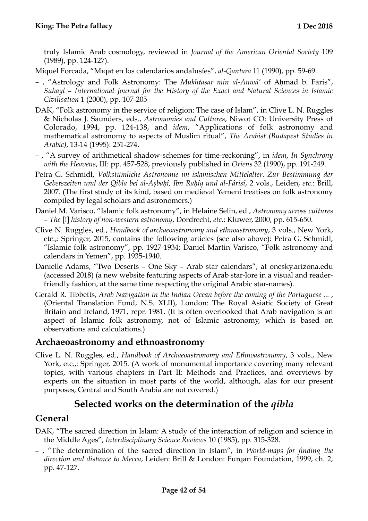truly Islamic Arab cosmology, reviewed in *Journal of the American Oriental Society* 109 (1989), pp. 124-127).

Miquel Forcada, "Mīqāt en los calendarios andalusíes", *al-Qantara* 11 (1990), pp. 59-69.

- , "Astrology and Folk Astronomy: The *Mukhtasar min al-Anwā'* of Aḥmad b. Fāris", *Suhayl* – *International Journal for the History of the Exact and Natural Sciences in Islamic Civilisation* 1 (2000), pp. 107-205
- DAK, "Folk astronomy in the service of religion: The case of Islam", in Clive L. N. Ruggles & Nicholas J. Saunders, eds., *Astronomies and Cultures*, Niwot CO: University Press of Colorado, 1994, pp. 124-138, and *idem*, "Applications of folk astronomy and mathematical astronomy to aspects of Muslim ritual", *The Arabist (Budapest Studies in Arabic)*, 13-14 (1995): 251-274.
- , "A survey of arithmetical shadow-schemes for time-reckoning", in *idem*, *In Synchrony with the Heavens*, III: pp. 457-528, previously published in *Oriens* 32 (1990), pp. 191-249.
- Petra G. Schmidl, *Volkstümliche Astronomie im islamischen Mittelalter. Zur Bestimmung der Gebetszeiten und der Qibla bei al-Aṣbaḥî, Ibn Raḥîq und al-Fârisî*, 2 vols., Leiden, *etc*.: Brill, 2007. (The first study of its kind, based on medieval Yemeni treatises on folk astronomy compiled by legal scholars and astronomers.)
- Daniel M. Varisco, "Islamic folk astronomy", in Helaine Selin, ed., *Astronomy across cultures – The* [!] *history of non-western astronomy*, Dordrecht, *etc*.: Kluwer, 2000, pp. 615-650.
- Clive N. Ruggles, ed., *Handbook of archaeoastronomy and ethnoastronomy*, 3 vols., New York, etc.,: Springer, 2015, contains the following articles (see also above): Petra G. Schmidl, "Islamic folk astronomy", pp. 1927-1934; Daniel Martin Varisco, "Folk astronomy and calendars in Yemen", pp. 1935-1940.
- Danielle Adams, "Two Deserts One Sky Arab star calendars", at [onesky.arizona.edu](http://onesky.arizona.edu) (accessed 2018) (a new website featuring aspects of Arab star-lore in a visual and readerfriendly fashion, at the same time respecting the original Arabic star-names).
- Gerald R. Tibbetts, *Arab Navigation in the Indian Ocean before the coming of the Portuguese ...* , (Oriental Translation Fund, N.S. XLII), London: The Royal Asiatic Society of Great Britain and Ireland, 1971, repr. 1981. (It is often overlooked that Arab navigation is an aspect of Islamic <u>folk astronomy</u>, not of Islamic astronomy, which is based on observations and calculations.)

#### <span id="page-41-0"></span>**Archaeoastronomy and ethnoastronomy**

Clive L. N. Ruggles, ed., *Handbook of Archaeoastronomy and Ethnoastronomy*, 3 vols., New York, etc.,: Springer, 2015. (A work of monumental importance covering many relevant topics, with various chapters in Part II: Methods and Practices, and overviews by experts on the situation in most parts of the world, although, alas for our present purposes, Central and South Arabia are not covered.)

#### <span id="page-41-1"></span>**Selected works on the determination of the** *qibla*

#### <span id="page-41-2"></span>**General**

- DAK, "The sacred direction in Islam: A study of the interaction of religion and science in the Middle Ages", *Interdisciplinary Science Reviews* 10 (1985), pp. 315-328.
- , "The determination of the sacred direction in Islam", in *World-maps for finding the direction and distance to Mecca*, Leiden: Brill & London: Furqan Foundation, 1999, ch. 2, pp. 47-127.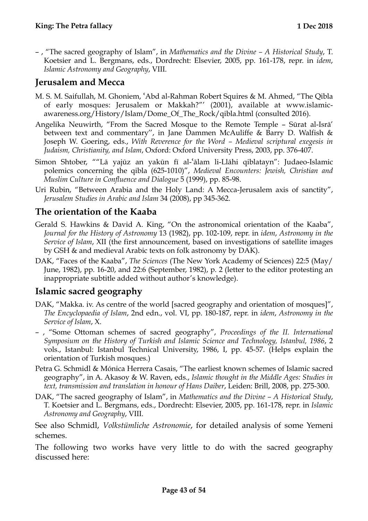– , "The sacred geography of Islam", in *Mathematics and the Divine – A Historical Study*, T. Koetsier and L. Bergmans, eds., Dordrecht: Elsevier, 2005, pp. 161-178, repr. in *idem*, *Islamic Astronomy and Geography*, VIII.

## <span id="page-42-0"></span>**Jerusalem and Mecca**

- M. S. M. Saifullah, M. Ghoniem, ʿAbd al-Rahman Robert Squires & M. Ahmed, "The Qibla of early mosques: Jerusalem or Makkah?"' (2001), available at [www.islamic](http://www.islamic-awareness.org/History/Islam/Dome_Of_The_Rock/qibla.html)[awareness.org/History/Islam/Dome\\_Of\\_The\\_Rock/qibla.html](http://www.islamic-awareness.org/History/Islam/Dome_Of_The_Rock/qibla.html) (consulted 2016).
- Angelika Neuwirth, "From the Sacred Mosque to the Remote Temple Sūrat al-Isrā' between text and commentary'', in Jane Dammen McAuliffe & Barry D. Walfish & Joseph W. Goering, eds., *With Reverence for the Word – Medieval scriptural exegesis in Judaism, Christianity, and Islam*, Oxford: Oxford University Press, 2003, pp. 376-407.
- Simon Shtober, ""Lā yajūz an yakūn fī al-ʿālam li-Llāhi qiblatayn": Judaeo-Islamic polemics concerning the qibla (625-1010)", *Medieval Encounters: Jewish, Christian and Muslim Culture in Confluence and Dialogue* 5 (1999), pp. 85-98.
- Uri Rubin, "Between Arabia and the Holy Land: A Mecca-Jerusalem axis of sanctity", *Jerusalem Studies in Arabic and Islam* 34 (2008), pp 345-362.

## <span id="page-42-1"></span>**The orientation of the Kaaba**

- Gerald S. Hawkins & David A. King, "On the astronomical orientation of the Kaaba", *Journal for the History of Astronomy* 13 (1982), pp. 102-109, repr. in *idem*, *Astronomy in the Service of Islam*, XII (the first announcement, based on investigations of satellite images by GSH & and medieval Arabic texts on folk astronomy by DAK).
- DAK, "Faces of the Kaaba", *The Sciences* (The New York Academy of Sciences) 22:5 (May/ June, 1982), pp. 16-20, and 22:6 (September, 1982), p. 2 (letter to the editor protesting an inappropriate subtitle added without author's knowledge).

#### <span id="page-42-2"></span>**Islamic sacred geography**

- DAK, "Makka. iv. As centre of the world [sacred geography and orientation of mosques]", *The Encyclopaedia of Islam*, 2nd edn., vol. VI, pp. 180-187, repr. in *idem*, *Astronomy in the Service of Islam*, X.
- , "Some Ottoman schemes of sacred geography", *Proceedings of the II. International Symposium on the History of Turkish and Islamic Science and Technology, Istanbul, 1986*, 2 vols., Istanbul: Istanbul Technical University, 1986, I, pp. 45-57. (Helps explain the orientation of Turkish mosques.)
- Petra G. Schmidl & Mónica Herrera Casais, "The earliest known schemes of Islamic sacred geography", in A. Akasoy & W. Raven, eds., *Islamic thought in the Middle Ages: Studies in text, transmission and translation in honour of Hans Daiber*, Leiden: Brill, 2008, pp. 275-300.
- DAK, "The sacred geography of Islam", in *Mathematics and the Divine A Historical Study*, T. Koetsier and L. Bergmans, eds., Dordrecht: Elsevier, 2005, pp. 161-178, repr. in *Islamic Astronomy and Geography*, VIII.

See also Schmidl, *Volkstümliche Astronomie*, for detailed analysis of some Yemeni schemes.

The following two works have very little to do with the sacred geography discussed here: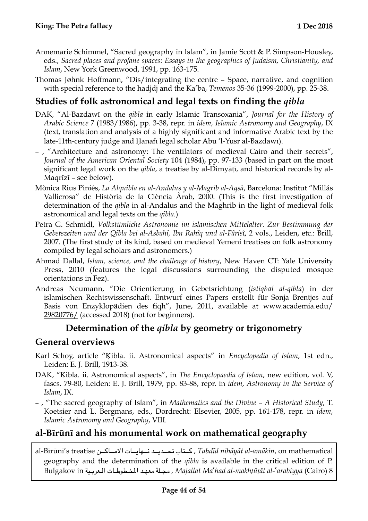- Annemarie Schimmel, "Sacred geography in Islam", in Jamie Scott & P. Simpson-Housley, eds., *Sacred places and profane spaces: Essays in the geographics of Judaism, Christianity, and Islam*, New York Greenwood, 1991, pp. 163-175.
- Thomas Jøhnk Hoffmann, "Dis/integrating the centre Space, narrative, and cognition with special reference to the hadjdj and the Ka'ba, *Temenos* 35-36 (1999-2000), pp. 25-38.

## <span id="page-43-0"></span>**Studies of folk astronomical and legal texts on finding the** *qibla*

- DAK, "Al-Bazdawī on the *qibla* in early Islamic Transoxania", *Journal for the History of Arabic Science* 7 (1983/1986), pp. 3-38, repr. in *idem, Islamic Astronomy and Geography*, IX (text, translation and analysis of a highly significant and informative Arabic text by the late-11th-century judge and Ḥanafī legal scholar Abu 'l-Yusr al-Bazdawī).
- , "Architecture and astronomy: The ventilators of medieval Cairo and their secrets", *Journal of the American Oriental Society* 104 (1984), pp. 97-133 (based in part on the most significant legal work on the *qibla*, a treatise by al-Dimyāṭī, and historical records by al-Maqrīzī – see below).
- Mònica Rius Piniés, *La Alquibla en al-Andalus y al-Magrib al-Aqsà*, Barcelona: Institut "Millás Vallicrosa" de Història de la Ciència Àrab, 2000. (This is the first investigation of determination of the *qibla* in al-Andalus and the Maghrib in the light of medieval folk astronomical and legal texts on the *qibla*.)
- Petra G. Schmidl, *Volkstümliche Astronomie im islamischen Mittelalter. Zur Bestimmung der Gebetszeiten und der Qibla bei al-Asbahî, Ibn Rahîq und al-Fâris*î, 2 vols., Leiden, etc.: Brill, 2007. (The first study of its kind, based on medieval Yemeni treatises on folk astronomy compiled by legal scholars and astronomers.)
- Ahmad Dallal, *Islam, science, and the challenge of history*, New Haven CT: Yale University Press, 2010 (features the legal discussions surrounding the disputed mosque orientations in Fez).
- Andreas Neumann, "Die Orientierung in Gebetsrichtung (*istiqbāl al-qibla*) in der islamischen Rechtswissenschaft. Entwurf eines Papers erstellt für Sonja Brentjes auf Basis von Enzyklopädien des fiqh", June, 2011, available at [www.academia.edu/](http://www.academia.edu/29820776/) [29820776/](http://www.academia.edu/29820776/) (accessed 2018) (not for beginners).

#### <span id="page-43-1"></span>**Determination of the** *qibla* **by geometry or trigonometry**

#### <span id="page-43-2"></span>**General overviews**

- Karl Schoy, article "Kibla. ii. Astronomical aspects" in *Encyclopedia of Islam*, 1st edn., Leiden: E. J. Brill, 1913-38.
- DAK, "Kibla. ii. Astronomical aspects", in *The Encyclopaedia of Islam*, new edition, vol. V, fascs. 79-80, Leiden: E. J. Brill, 1979, pp. 83-88, repr. in *idem*, *Astronomy in the Service of Islam*, IX.
- , "The sacred geography of Islam", in *Mathematics and the Divine A Historical Study*, T. Koetsier and L. Bergmans, eds., Dordrecht: Elsevier, 2005, pp. 161-178, repr. in *idem*, *Islamic Astronomy and Geography*, VIII.

## <span id="page-43-3"></span>**al-Bīrūnī and his monumental work on mathematical geography**

al-Bīrūnī's treatise أكتاب تحديد نسهايات الامباكين, Taḥdīd nihāyāt al-amākin, on mathematical geography and the determination of the *qibla* is available in the critical edition of P. 8 (Cairo(ʿ*arabiyya-al makhṭūṭāt-al Ma*ʿ*had Majallat ,* مج\$ \$ \$لة معه\$ \$ \$د الخ\$ \$ \$طوط\$ \$ \$ات ال\$ \$ \$عرب\$ \$ \$ية in Bulgakov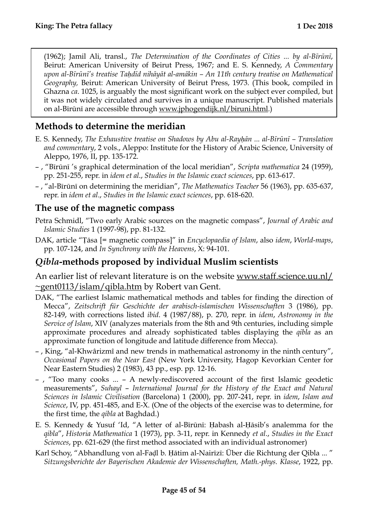(1962); Jamil Ali, transl., *The Determination of the Coordinates of Cities ... by al-Bīrūnī*, Beirut: American University of Beirut Press, 1967; and E. S. Kennedy, *A Commentary upon al-Bīrūnī's treatise Taḥdīd nihāyāt al-amākin – An 11th century treatise on Mathematical Geography,* Beirut: American University of Beirut Press, 1973. (This book, compiled in Ghazna *ca*. 1025, is arguably the most significant work on the subject ever compiled, but it was not widely circulated and survives in a unique manuscript. Published materials on al-Bīrūnī are accessible through [www.jphogendijk.nl/biruni.html.](http://www.jphogendijk.nl/biruni.html))

## <span id="page-44-0"></span>**Methods to determine the meridian**

- E. S. Kennedy, *The Exhaustive treatise on Shadows by Abu al-Rayḥān ... al-Bīrūnī Translation and commentary*, 2 vols., Aleppo: Institute for the History of Arabic Science, University of Aleppo, 1976, II, pp. 135-172.
- , "Bīrūnī 's graphical determination of the local meridian", *Scripta mathematica* 24 (1959), pp. 251-255, repr. in *idem et al*., *Studies in the Islamic exact sciences*, pp. 613-617.
- , "al-Bīrūnī on determining the meridian", *The Mathematics Teacher* 56 (1963), pp. 635-637, repr. in *idem et al*., *Studies in the Islamic exact sciences*, pp. 618-620.

#### <span id="page-44-1"></span>**The use of the magnetic compass**

- Petra Schmidl, "Two early Arabic sources on the magnetic compass", *Journal of Arabic and Islamic Studies* 1 (1997-98), pp. 81-132.
- DAK, article "Ṭāsa [= magnetic compass]" in *Encyclopaedia of Islam*, also *idem*, *World-maps*, pp. 107-124, and *In Synchrony with the Heavens*, X: 94-101.

#### <span id="page-44-2"></span>*Qibla***-methods proposed by individual Muslim scientists**

An earlier list of relevant literature is on the website [www.staff.science.uu.nl/](http://www.staff.science.uu.nl/~gent0113/islam/qibla.htm)  $\sim$ gent0113/islam/qibla.htm by Robert van Gent.

- DAK, "The earliest Islamic mathematical methods and tables for finding the direction of Mecca", *Zeitschrift für Geschichte der arabisch-islamischen Wissenschaften* 3 (1986), pp. 82-149, with corrections listed *ibid*. 4 (1987/88), p. 270, repr. in *idem*, *Astronomy in the Service of Islam*, XIV (analyzes materials from the 8th and 9th centuries, including simple approximate procedures and already sophisticated tables displaying the *qibla* as an approximate function of longitude and latitude difference from Mecca).
- , King, "al-Khwârizmî and new trends in mathematical astronomy in the ninth century", *Occasional Papers on the Near East* (New York University, Hagop Kevorkian Center for Near Eastern Studies) 2 (1983), 43 pp., esp. pp. 12-16.
- , "Too many cooks ... A newly-rediscovered account of the first Islamic geodetic measurements", *Suhayl* – *International Journal for the History of the Exact and Natural Sciences in Islamic Civilisation* (Barcelona) 1 (2000), pp. 207-241, repr. in *idem*, *Islam and Science*, IV, pp. 451-485, and E-X. (One of the objects of the exercise was to determine, for the first time, the *qibla* at Baghdad.)
- E. S. Kennedy & Yusuf 'Id, "A letter of al-Bīrūnī: Ḥabash al-Ḥāsib's analemma for the *qibla*", *Historia Mathematica* 1 (1973), pp. 3-11, repr. in Kennedy *et al*., *Studies in the Exact Sciences*, pp. 621-629 (the first method associated with an individual astronomer)
- Karl Schoy, "Abhandlung von al-Faḍl b. Ḥātim al-Nairīzī: Über die Richtung der Qibla ... " *Sitzungsberichte der Bayerischen Akademie der Wissenschaften, Math.-phys. Klasse*, 1922, pp.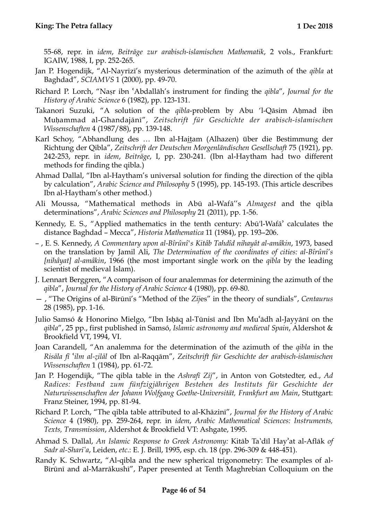55-68, repr. in *idem*, *Beiträge zur arabisch-islamischen Mathematik*, 2 vols., Frankfurt: IGAIW, 1988, I, pp. 252-265.

- Jan P. Hogendijk, "Al-Nayrīzī's mysterious determination of the azimuth of the *qibla* at Baghdad", *SCIAMVS* 1 (2000), pp. 49-70.
- Richard P. Lorch, "Naṣr ibn ʿAbdallāh's instrument for finding the *qibla*", *Journal for the History of Arabic Science* 6 (1982), pp. 123-131.
- Takanori Suzuki, "A solution of the *qibla*-problem by Abu 'l-Qāsim Aḥmad ibn Muḥammad al-Ghandajānī", *Zeitschrift für Geschichte der arabisch-islamischen Wissenschaften* 4 (1987/88), pp. 139-148.
- Karl Schoy, "Abhandlung des … Ibn al-Haitam (Alhazen) über die Bestimmung der Richtung der Qibla", *Zeitschrift der Deutschen Morgenländischen Gesellschaft* 75 (1921), pp. 242-253, repr. in *idem*, *Beiträge*, I, pp. 230-241. (Ibn al-Haytham had two different methods for finding the qibla.)
- Ahmad Dallal, "Ibn al-Haytham's universal solution for finding the direction of the qibla by calculation", *Arabic Science and Philosophy* 5 (1995), pp. 145-193. (This article describes Ibn al-Haytham's other method.)
- Ali Moussa, "Mathematical methods in Abū al-Wafā''s *Almagest* and the qibla determinations", *Arabic Sciences and Philosophy* 21 (2011), pp. 1-56.
- Kennedy, E. S., "Applied mathematics in the tenth century: Abū'l-Wafāʾ calculates the distance Baghdad – Mecca", *Historia Mathematica* 11 (1984), pp. 193–206.
- , E. S. Kennedy, *A Commentary upon al-Bîrûnî's Kitâb Tahdîd nihayât al-amâkin*, 1973, based on the translation by Jamil Ali, *The Determination of the coordinates of cities: al-Bîrûnî's [nihâyat] al-amâkin*, 1966 (the most important single work on the *qibla* by the leading scientist of medieval Islam).
- J. Lennart Berggren, "A comparison of four analemmas for determining the azimuth of the *qibla*", *Journal for the History of Arabic Science* 4 (1980), pp. 69-80.
- , "The Origins of al-Bīrūnī's "Method of the *Zīj*es" in the theory of sundials", *Centaurus* 28 (1985), pp. 1-16.
- Julio Samsó & Honorino Mielgo, "Ibn Isḥāq al-Tūnisī and Ibn Muʿādh al-Jayyānī on the *qibla*", 25 pp., first published in Samsó, *Islamic astronomy and medieval Spain*, Aldershot & Brookfield VT, 1994, VI.
- Joan Carandell, "An analemma for the determination of the azimuth of the *qibla* in the *Risāla fī* ʿ*ilm al-ẓilāl* of Ibn al-Raqqām", *Zeitschrift für Geschichte der arabisch-islamischen Wissenschaften* 1 (1984), pp. 61-72.
- Jan P. Hogendijk, "The qibla table in the *Ashrafī Zīj*", in Anton von Gotstedter, ed., *Ad Radices: Festband zum fünfzigjährigen Bestehen des Instituts für Geschichte der Naturwissenschaften der Johann Wolfgang Goethe-Universität, Frankfurt am Main*, Stuttgart: Franz Steiner, 1994, pp. 81-94.
- Richard P. Lorch, "The qibla table attributed to al-Khāzinī", *Journal for the History of Arabic Science* 4 (1980), pp. 259-264, repr. in *idem*, *Arabic Mathematical Sciences: Instruments, Texts, Transmission*, Aldershot & Brookfield VT: Ashgate, 1995.
- Ahmad S. Dallal, *An Islamic Response to Greek Astronomy:* Kitāb Ta'dīl Hayʾat al-Aflāk *of Sadr al-Sharī'a*, Leiden, *etc*.: E. J. Brill, 1995, esp. ch. 18 (pp. 296-309 & 448-451).
- Randy K. Schwartz, "Al-qibla and the new spherical trigonometry: The examples of al-Bīrūnī and al-Marrākushī", Paper presented at Tenth Maghrebian Colloquium on the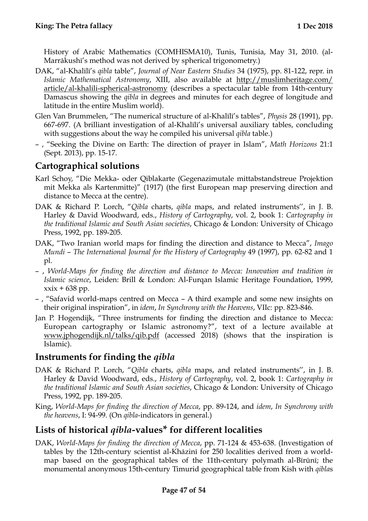History of Arabic Mathematics (COMHISMA10), Tunis, Tunisia, May 31, 2010. (al-Marrākushī's method was not derived by spherical trigonometry.)

- DAK, "al-Khalīlī's *qibla* table", *Journal of Near Eastern Studies* 34 (1975), pp. 81-122, repr. in *Islamic Mathematical Astronomy*, XIII, also available at [http://muslimheritage.com/](http://muslimheritage.com/article/al-khalili-spherical-astronomy) [article/al-khalili-spherical-astronomy](http://muslimheritage.com/article/al-khalili-spherical-astronomy) (describes a spectacular table from 14th-century Damascus showing the *qibla* in degrees and minutes for each degree of longitude and latitude in the entire Muslim world).
- Glen Van Brummelen, "The numerical structure of al-Khalīlī's tables", *Physis* 28 (1991), pp. 667-697. (A brilliant investigation of al-Khalīlī's universal auxiliary tables, concluding with suggestions about the way he compiled his universal *qibla* table.)
- , "Seeking the Divine on Earth: The direction of prayer in Islam", *Math Horizons* 21:1 (Sept. 2013), pp. 15-17.

## <span id="page-46-0"></span>**Cartographical solutions**

- Karl Schoy, "Die Mekka- oder Qiblakarte (Gegenazimutale mittabstandstreue Projektion mit Mekka als Kartenmitte)" (1917) (the first European map preserving direction and distance to Mecca at the centre).
- DAK & Richard P. Lorch, "*Qibla* charts, *qibla* maps, and related instruments'', in J. B. Harley & David Woodward, eds., *History of Cartography*, vol. 2, book 1: *Cartography in the traditional Islamic and South Asian societies*, Chicago & London: University of Chicago Press, 1992, pp. 189-205.
- DAK, "Two Iranian world maps for finding the direction and distance to Mecca", *Imago Mundi* – *The International Journal for the History of Cartography* 49 (1997), pp. 62-82 and 1 pl.
- , *World-Maps for finding the direction and distance to Mecca: Innovation and tradition in Islamic science*, Leiden: Brill & London: Al-Furqan Islamic Heritage Foundation, 1999,  $x\dot{x} + 638$  pp.
- , "Safavid world-maps centred on Mecca A third example and some new insights on their original inspiration", in *idem*, *In Synchrony with the Heavens*, VIIc: pp. 823-846.
- Jan P. Hogendijk, "Three instruments for finding the direction and distance to Mecca: European cartography or Islamic astronomy?", text of a lecture available at [www.jphogendijk.nl/talks/qib.pdf](http://www.jphogendijk.nl/talks/qib.pdf) (accessed 2018) (shows that the inspiration is Islamic).

#### <span id="page-46-1"></span>**Instruments for finding the** *qibla*

- DAK & Richard P. Lorch, "*Qibla* charts, *qibla* maps, and related instruments'', in J. B. Harley & David Woodward, eds., *History of Cartography*, vol. 2, book 1: *Cartography in the traditional Islamic and South Asian societies*, Chicago & London: University of Chicago Press, 1992, pp. 189-205.
- King, *World-Maps for finding the direction of Mecca*, pp. 89-124, and *idem*, *In Synchrony with the heavens*, I: 94-99. (On *qibla*-indicators in general.)

## <span id="page-46-2"></span>**Lists of historical** *qibla-***values\* for different localities**

DAK, *World-Maps for finding the direction of Mecca*, pp. 71-124 & 453-638. (Investigation of tables by the 12th-century scientist al-Khāzinī for 250 localities derived from a worldmap based on the geographical tables of the 11th-century polymath al-Bīrūnī; the monumental anonymous 15th-century Timurid geographical table from Kish with *qibla*s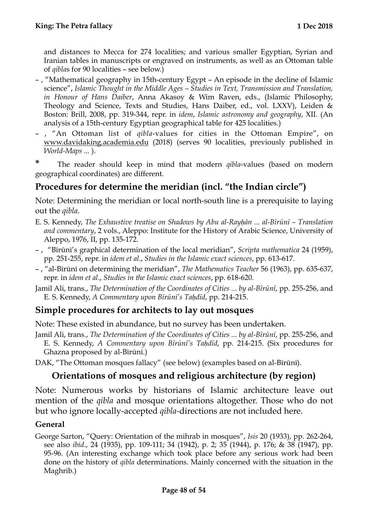and distances to Mecca for 274 localities; and various smaller Egyptian, Syrian and Iranian tables in manuscripts or engraved on instruments, as well as an Ottoman table of *qibla*s for 90 localities – see below.)

- , "Mathematical geography in 15th-century Egypt An episode in the decline of Islamic science", *Islamic Thought in the Middle Ages – Studies in Text, Transmission and Translation, in Honour of Hans Daiber*, Anna Akasoy & Wim Raven, eds., (Islamic Philosophy, Theology and Science, Texts and Studies, Hans Daiber, ed., vol. LXXV), Leiden & Boston: Brill, 2008, pp. 319-344, repr. in *idem*, *Islamic astronomy and geography*, XII. (An analysis of a 15th-century Egyptian geographical table for 425 localities.)
- , "An Ottoman list of *qibla*-values for cities in the Ottoman Empire", on [www.davidaking.academia.edu](http://www.davidaking.academia.edu) (2018) (serves 90 localities, previously published in *World-Maps ...* ).

**\*** The reader should keep in mind that modern *qibla*-values (based on modern geographical coordinates) are different.

## <span id="page-47-0"></span>**Procedures for determine the meridian (incl. "the Indian circle")**

Note: Determining the meridian or local north-south line is a prerequisite to laying out the *qibla*.

- E. S. Kennedy, *The Exhaustive treatise on Shadows by Abu al-Rayḥān ... al-Bīrūnī Translation and commentary*, 2 vols., Aleppo: Institute for the History of Arabic Science, University of Aleppo, 1976, II, pp. 135-172.
- , "Bīrūnī's graphical determination of the local meridian", *Scripta mathematica* 24 (1959), pp. 251-255, repr. in *idem et al*., *Studies in the Islamic exact sciences*, pp. 613-617.
- , "al-Bīrūnī on determining the meridian", *The Mathematics Teacher* 56 (1963), pp. 635-637, repr. in *idem et al*., *Studies in the Islamic exact sciences*, pp. 618-620.
- Jamil Ali, trans., *The Determination of the Coordinates of Cities ... by al-Bīrūnī*, pp. 255-256, and E. S. Kennedy, *A Commentary upon Bīrūnī's Taḥdīd*, pp. 214-215.

## <span id="page-47-1"></span>**Simple procedures for architects to lay out mosques**

Note: These existed in abundance, but no survey has been undertaken.

- Jamil Ali, trans., *The Determination of the Coordinates of Cities ... by al-Bīrūnī*, pp. 255-256, and E. S. Kennedy, *A Commentary upon Bīrūnī's Taḥdīd*, pp. 214-215. (Six procedures for Ghazna proposed by al-Bīrūnī.)
- DAK, "The Ottoman mosques fallacy" (see below) (examples based on al-Bīrūnī).

## <span id="page-47-2"></span>**Orientations of mosques and religious architecture (by region)**

Note: Numerous works by historians of Islamic architecture leave out mention of the *qibla* and mosque orientations altogether. Those who do not but who ignore locally-accepted *qibla-*directions are not included here.

#### <span id="page-47-3"></span>**General**

George Sarton, "Query: Orientation of the mihrab in mosques", *Isis* 20 (1933), pp. 262-264, see also *ibid*., 24 (1935), pp. 109-111; 34 (1942), p. 2; 35 (1944), p. 176; & 38 (1947), pp. 95-96. (An interesting exchange which took place before any serious work had been done on the history of *qibla* determinations. Mainly concerned with the situation in the Maghrib.)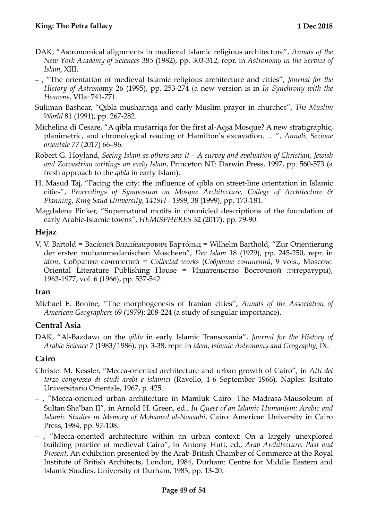- DAK, "Astronomical alignments in medieval Islamic religious architecture", *Annals of the New York Academy of Sciences* 385 (1982), pp. 303-312, repr. in *Astronomy in the Service of Islam*, XIII.
- , "The orientation of medieval Islamic religious architecture and cities", *Journal for the History of Astrono*my 26 (1995), pp. 253-274 (a new version is in *In Synchrony with the Heavens*, VIIa: 741-771.
- Suliman Bashear, "Qibla musharriqa and early Muslim prayer in churches", *The Muslim World* 81 (1991), pp. 267-282.
- Michelina di Cesare, "A qibla mušarriqa for the first al-Aqṣà Mosque? A new stratigraphic, planimetric, and chronological reading of Hamilton's excavation, ... ", *Annali, Sezione orientale* 77 (2017) 66–96.
- Robert G. Hoyland, *Seeing Islam as others saw it A survey and evaluation of Christian, Jewish and Zoroastrian writings on early Islam*, Princeton NT: Darwin Press, 1997, pp. 560-573 (a fresh approach to the *qibla* in early Islam).
- H. Masud Taj, "Facing the city: the influence of qibla on street-line orientation in Islamic cities", *Proceedings of Symposium on Mosque Architecture, College of Architecture & Planning, King Saud University, 1419H - 1999*, 38 (1999), pp. 173-181.
- Magdalena Pinker, "Supernatural motifs in chronicled descriptions of the foundation of early Arabic-Islamic towns", *HEMISPHERES* 32 (2017), pp. 79-90.

#### <span id="page-48-0"></span>**Hejaz**

V. V. Bartold = Васи́лий Влади́мирович Барто́льд = Wilhelm Barthold, "Zur Orientierung der ersten muhammedanischen Moscheen", *Der Islam* 18 (1929), pp. 245-250, repr. in *idem*, Собрание сочинений = *Collected works* (*Собрание сочинений*, 9 vols., Moscow: Oriental Literature Publishing House = Издательство Восточной литературы), 1963-1977, vol. 6 (1966), pp. 537-542.

#### <span id="page-48-1"></span>**Iran**

Michael E. Bonine, "The morphogenesis of Iranian cities'', *Annals of the Association of American Geographers* 69 (1979): 208-224 (a study of singular importance).

#### <span id="page-48-2"></span>**Central Asia**

DAK, "Al-Bazdawī on the *qibla* in early Islamic Transoxania", *Journal for the History of Arabic Science* 7 (1983/1986), pp. 3-38, repr. in *idem*, *Islamic Astronomy and Geography*, IX.

#### <span id="page-48-3"></span>**Cairo**

- Christel M. Kessler, "Mecca-oriented architecture and urban growth of Cairo", in *Atti del terzo congresso di studi arabi e islamici* (Ravello, 1-6 September 1966), Naples: Istituto Universitario Orientale, 1967, p. 425.
- , "Mecca-oriented urban architecture in Mamluk Cairo: The Madrasa-Mausoleum of Sultan Shaʿban II", in Arnold H. Green, ed., *In Quest of an Islamic Humanism: Arabic and Islamic Studies in Memory of Mohamed al-Nowaihi*, Cairo: American University in Cairo Press, 1984, pp. 97-108.
- , "Mecca-oriented architecture within an urban context: On a largely unexplored building practice of medieval Cairo", in Antony Hutt, ed., *Arab Architecture: Past and Present*, An exhibition presented by the Arab-British Chamber of Commerce at the Royal Institute of British Architects, London, 1984, Durham: Centre for Middle Eastern and Islamic Studies, University of Durham, 1983, pp. 13-20.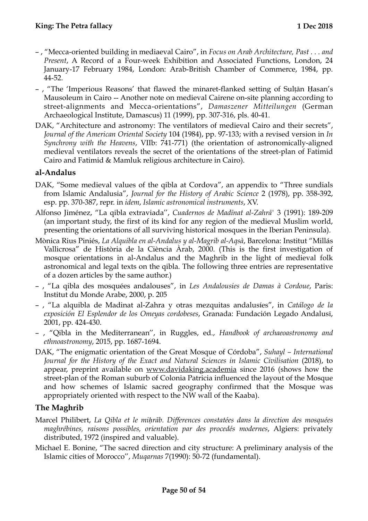- , "Mecca-oriented building in mediaeval Cairo", in *Focus on Arab Architecture, Past . . . and Present*, A Record of a Four-week Exhibition and Associated Functions, London, 24 January-17 February 1984, London: Arab-British Chamber of Commerce, 1984, pp. 44-52.
- , "The 'Imperious Reasons' that flawed the minaret-flanked setting of Sulṭān Ḥasan's Mausoleum in Cairo -- Another note on medieval Cairene on-site planning according to street-alignments and Mecca-orientations", *Damaszener Mitteilungen* (German Archaeological Institute, Damascus) 11 (1999), pp. 307-316, pls. 40-41.
- DAK, "Architecture and astronomy: The ventilators of medieval Cairo and their secrets", *Journal of the American Oriental Society* 104 (1984), pp. 97-133; with a revised version in *In Synchrony with the Heavens*, VIIb: 741-771) (the orientation of astronomically-aligned medieval ventilators reveals the secret of the orientations of the street-plan of Fatimid Cairo and Fatimid & Mamluk religious architecture in Cairo).

#### <span id="page-49-0"></span>**al-Andalus**

- DAK, "Some medieval values of the qibla at Cordova", an appendix to "Three sundials from Islamic Andalusia", *Journal for the History of Arabic Science* 2 (1978), pp. 358-392, esp. pp. 370-387, repr. in *idem*, *Islamic astronomical instruments*, XV.
- Alfonso Jiménez, "La qibla extraviada'', *Cuadernos de Madīnat al-Zahrā'* 3 (1991): 189-209 (an important study, the first of its kind for any region of the medieval Muslim world, presenting the orientations of all surviving historical mosques in the Iberian Peninsula).
- Mònica Rius Piniés, *La Alquibla en al-Andalus y al-Magrib al-Aqsà*, Barcelona: Institut "Millás Vallicrosa" de Història de la Ciència Àrab, 2000. (This is the first investigation of mosque orientations in al-Andalus and the Maghrib in the light of medieval folk astronomical and legal texts on the qibla. The following three entries are representative of a dozen articles by the same author.)
- , "La qibla des mosquées andalouses", in *Les Andalousies de Damas à Cordoue*, Paris: Institut du Monde Arabe, 2000, p. 205
- , "La alquibla de Madinat al-Zahra y otras mezquitas andalusíes", in *Catálogo de la exposición El Esplendor de los Omeyas cordobeses*, Granada: Fundación Legado Andalusī, 2001, pp. 424-430.
- , "Qibla in the Mediterranean'', in Ruggles, ed., *Handbook of archaeoastronomy and ethnoastronomy*, 2015, pp. 1687-1694.
- DAK, "The enigmatic orientation of the Great Mosque of Córdoba", *Suhayl International*  Journal for the History of the Exact and Natural Sciences in Islamic Civilisation (2018), to appear, preprint available on [www.davidaking.academia](http://www.davidaking.academia) since 2016 (shows how the street-plan of the Roman suburb of Colonia Patricia influenced the layout of the Mosque and how schemes of Islamic sacred geography confirmed that the Mosque was appropriately oriented with respect to the NW wall of the Kaaba).

#### <span id="page-49-1"></span>**The Maghrib**

- Marcel Philibert, *La Qibla et le miḥrāb. Differences constatées dans la direction des mosquées maghrébines, raisons possibles, orientation par des procedés modernes*, Algiers: privately distributed, 1972 (inspired and valuable).
- Michael E. Bonine, "The sacred direction and city structure: A preliminary analysis of the Islamic cities of Morocco'', *Muqarnas* 7(1990): 50-72 (fundamental).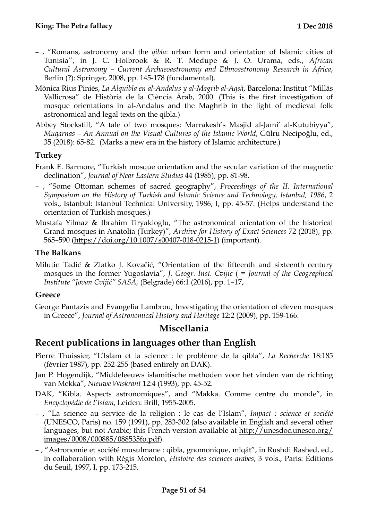- , "Romans, astronomy and the *qibla*: urban form and orientation of Islamic cities of Tunisia'', in J. C. Holbrook & R. T. Medupe & J. O. Urama, eds., *African Cultural Astronomy – Current Archaeoastronomy and Ethnoastronomy Research in Africa*, Berlin (?): Springer, 2008, pp. 145-178 (fundamental).
- Mònica Rius Piniés, *La Alquibla en al-Andalus y al-Magrib al-Aqsà*, Barcelona: Institut "Millás Vallicrosa" de Història de la Ciència Àrab, 2000. (This is the first investigation of mosque orientations in al-Andalus and the Maghrib in the light of medieval folk astronomical and legal texts on the qibla.)
- Abbey Stockstill, "A tale of two mosques: Marrakesh's Masjid al-Jami' al-Kutubiyya", *Muqarnas – An Annual on the Visual Cultures of the Islamic World*, Gülru Necipoğlu, ed., 35 (2018): 65-82. (Marks a new era in the history of Islamic architecture.)

#### <span id="page-50-0"></span>**Turkey**

- Frank E. Barmore, "Turkish mosque orientation and the secular variation of the magnetic declination", *Journal of Near Eastern Studies* 44 (1985), pp. 81-98.
- , "Some Ottoman schemes of sacred geography", *Proceedings of the II. International Symposium on the History of Turkish and Islamic Science and Technology, Istanbul, 1986*, 2 vols., Istanbul: Istanbul Technical University, 1986, I, pp. 45-57. (Helps understand the orientation of Turkish mosques.)
- Mustafa Yilmaz & Ibrahim Tiryakioglu, "The astronomical orientation of the historical Grand mosques in Anatolia (Turkey)", *Archive for History of Exact Sciences* 72 (2018), pp. 565–590 (<https://doi.org/10.1007/s00407-018-0215-1>) (important).

#### <span id="page-50-1"></span>**The Balkans**

Milutin Tadić & Zlatko J. Kovačić, "Orientation of the fifteenth and sixteenth century mosques in the former Yugoslavia", *J. Geogr. Inst. Cvijic* ( = *Journal of the Geographical Institute "Jovan Cvijić" SASA,* (Belgrade) 66:1 (2016), pp. 1–17,

#### <span id="page-50-2"></span>**Greece**

George Pantazis and Evangelia Lambrou, Investigating the orientation of eleven mosques in Greece", *Journal of Astronomical History and Heritage* 12:2 (2009), pp. 159-166.

#### <span id="page-50-3"></span>**Miscellania**

#### <span id="page-50-4"></span>**Recent publications in languages other than English**

- Pierre Thuissier, "L'Islam et la science : le problème de la qibla", *La Recherche* 18:185 (février 1987), pp. 252-255 (based entirely on DAK).
- Jan P. Hogendijk, "Middeleeuws islamitische methoden voor het vinden van de richting van Mekka", *Nieuwe Wiskrant* 12:4 (1993), pp. 45-52.
- DAK, "Kibla. Aspects astronomiques", and "Makka. Comme centre du monde", in *Encyclopédie de l'Islam*, Leiden: Brill, 1955-2005.
- , "La science au service de la religion : le cas de l'Islam", *Impact : science et société* (UNESCO, Paris) no. 159 (1991), pp. 283-302 (also available in English and several other languages, but not Arabic; this French version available at [http://unesdoc.unesco.org/](http://unesdoc.unesco.org/images/0008/000885/088535fo.pdf) [images/0008/000885/088535fo.pdf](http://unesdoc.unesco.org/images/0008/000885/088535fo.pdf)).
- , "Astronomie et société musulmane : qibla, gnomonique, mîqât", in Rushdi Rashed, ed., in collaboration with Régis Morelon, *Histoire des sciences arabes*, 3 vols., Paris: Éditions du Seuil, 1997, I, pp. 173-215.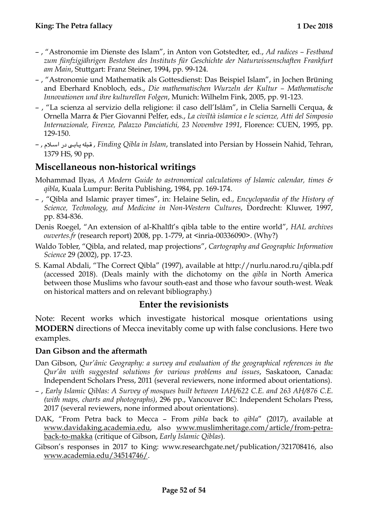- , "Astronomie im Dienste des Islam", in Anton von Gotstedter, ed., *Ad radices Festband zum fünfzigjährigen Bestehen des Instituts für Geschichte der Naturwissenschaften Frankfurt am Main*, Stuttgart: Franz Steiner, 1994, pp. 99-124.
- , "Astronomie und Mathematik als Gottesdienst: Das Beispiel Islam", in Jochen Brüning and Eberhard Knobloch, eds., *Die mathematischen Wurzeln der Kultur – Mathematische Innovationen und ihre kulturellen Folgen*, Munich: Wilhelm Fink, 2005, pp. 91-123.
- , "La scienza al servizio della religione: il caso dell'Islâm", in Clelia Sarnelli Cerqua, & Ornella Marra & Pier Giovanni Pelfer, eds., *La civiltà islamica e le scienze, Atti del Simposio Internazionale, Firenze, Palazzo Panciatichi, 23 Novembre 1991*, Florence: CUEN, 1995, pp. 129-150.
- , لم\$ \$اس در ى\$ \$اب\$ \$ي بله\$ \$ق , *Finding Qibla in Islam*, translated into Persian by Hossein Nahid, Tehran, 1379 HS, 90 pp.

#### <span id="page-51-0"></span>**Miscellaneous non-historical writings**

- Mohammad Ilyas, *A Modern Guide to astronomical calculations of Islamic calendar, times & qibla*, Kuala Lumpur: Berita Publishing, 1984, pp. 169-174.
- , "Qibla and Islamic prayer times", in: Helaine Selin, ed., *Encyclopaedia of the History of Science, Technology, and Medicine in Non-Western Cultures*, Dordrecht: Kluwer, 1997, pp. 834-836.
- Denis Roegel, "An extension of al-Khalīlī's qibla table to the entire world", *HAL archives ouvertes.fr* (research report) 2008, pp. 1-779, at <inria-00336090>. (Why?)
- Waldo Tobler, "Qibla, and related, map projections", *Cartography and Geographic Information Science* 29 (2002), pp. 17-23.
- S. Kamal Abdali, "The Correct Qibla" (1997), available at <http://nurlu.narod.ru/qibla.pdf> (accessed 2018). (Deals mainly with the dichotomy on the *qibla* in North America between those Muslims who favour south-east and those who favour south-west. Weak on historical matters and on relevant bibliography.)

#### <span id="page-51-1"></span>**Enter the revisionists**

Note: Recent works which investigate historical mosque orientations using **MODERN** directions of Mecca inevitably come up with false conclusions. Here two examples.

#### <span id="page-51-2"></span>**Dan Gibson and the aftermath**

- Dan Gibson, *Qur'ânic Geography: a survey and evaluation of the geographical references in the Qur'ân with suggested solutions for various problems and issues*, Saskatoon, Canada: Independent Scholars Press, 2011 (several reviewers, none informed about orientations).
- , *Early Islamic Qiblas: A Survey of mosques built between 1AH/622 C.E. and 263 AH/876 C.E. (with maps, charts and photographs)*, 296 pp., Vancouver BC: Independent Scholars Press, 2017 (several reviewers, none informed about orientations).
- DAK, "From Petra back to Mecca From *pibla* back to *qibla*" (2017), available at [www.davidaking.academia.edu,](http://www.davidaking.academia.edu) also [www.muslimheritage.com/article/from-petra](http://www.muslimheritage.com/article/from-petra-back-to-makka)[back-to-makka](http://www.muslimheritage.com/article/from-petra-back-to-makka) (critique of Gibson, *Early Islamic Qiblas*).
- Gibson's responses in 2017 to King: www.researchgate.net/publication/321708416, also [www.academia.edu/34514746/](http://www.academia.edu/34514746/).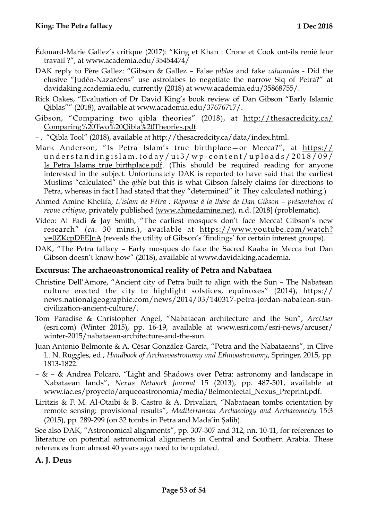- Édouard-Marie Gallez's critique (2017): ["King et Khan : Crone et Cook ont-ils renié leur](https://www.academia.edu/35454474/King_et_Khan_Crone_et_Cook_ont-ils_reni%C3%A9_leur_travail_)  [travail ?"](https://www.academia.edu/35454474/King_et_Khan_Crone_et_Cook_ont-ils_reni%C3%A9_leur_travail_), at [www.academia.edu/35454474/](http://www.academia.edu/35454474/)
- DAK reply to Père Gallez: "Gibson & Gallez False *pibla*s and fake *calumnia*s Did the elusive "Judéo-Nazaréens" use astrolabes to negotiate the narrow Siq of Petra?" at [davidaking.academia.edu](http://davidaking.academia.edu), currently (2018) at [www.academia.edu/35868755/](http://www.academia.edu/35868755/).
- Rick Oakes, "Evaluation of Dr David King's book review of Dan Gibson "Early Islamic Qiblas"" (2018), available at www.academia.edu/37676717/.
- Gibson, "Comparing two qibla theories" (2018), at [http://thesacredcity.ca/](http://thesacredcity.ca/Comparing%20Two%20Qibla%20Theories.pdf) [Comparing%20Two%20Qibla%20Theories.pdf](http://thesacredcity.ca/Comparing%20Two%20Qibla%20Theories.pdf).
- , "Qibla Tool" (2018), available at http://thesacredcity.ca/data/index.html.
- Mark Anderson, "Is Petra Islam's true birthplace—or Mecca?", at [https://](https://understandingislam.today/ui3/wp-content/uploads/2018/09/Is_Petra_Islams_true_birthplace.pdf) [understandingislam.today/ui3/wp-content/uploads/2018/09/](https://understandingislam.today/ui3/wp-content/uploads/2018/09/Is_Petra_Islams_true_birthplace.pdf) [Is\\_Petra\\_Islams\\_true\\_birthplace.pdf.](https://understandingislam.today/ui3/wp-content/uploads/2018/09/Is_Petra_Islams_true_birthplace.pdf) (This should be required reading for anyone interested in the subject. Unfortunately DAK is reported to have said that the earliest Muslims "calculated" the *qibla* but this is what Gibson falsely claims for directions to Petra, whereas in fact I had stated that they "determined" it. They calculated nothing.)
- Ahmed Amine Khelifa, *L'islam de Pétra : Réponse à la thèse de Dan Gibson présentation et revue critique*, privately published [\(www.ahmedamine.net](http://www.ahmedamine.net)), n.d. [2018] (problematic).
- Video: Al Fadi & Jay Smith, "The earliest mosques don't face Mecca! Gibson's new research" (*ca*. 30 mins.), available at [https://www.youtube.com/watch?](https://www.youtube.com/watch?v=0ZKcpDEEJnA) [v=0ZKcpDEEJnA](https://www.youtube.com/watch?v=0ZKcpDEEJnA) (reveals the utility of Gibson's 'findings' for certain interest groups).
- DAK, "The Petra fallacy Early mosques do face the Sacred Kaaba in Mecca but Dan Gibson doesn't know how" (2018), available at [www.davidaking.academia](http://www.davidaking.academia).

#### <span id="page-52-0"></span>**Excursus: The archaeoastronomical reality of Petra and Nabataea**

- Christine Dell'Amore, "Ancient city of Petra built to align with the Sun The Nabatean culture erected the city to highlight solstices, equinoxes" (2014), https:// news.nationalgeographic.com/news/2014/03/140317-petra-jordan-nabatean-suncivilization-ancient-culture/.
- Tom Paradise & Christopher Angel, "Nabataean architecture and the Sun", *ArcUser* ([esri.com](http://esri.com)) (Winter 2015), pp. 16-19, available at [www.esri.com/esri-news/arcuser/](http://www.esri.com/esri-news/arcuser/winter-2015/nabataean-architecture-and-the-sun) [winter-2015/nabataean-architecture-and-the-sun](http://www.esri.com/esri-news/arcuser/winter-2015/nabataean-architecture-and-the-sun).
- Juan Antonio Belmonte & A. César González-García, "Petra and the Nabataeans", in Clive L. N. Ruggles, ed., *Handbook of Archaeoastronomy and Ethnoastronomy*, Springer, 2015, pp. 1813-1822.
- & & Andrea Polcaro, "Light and Shadows over Petra: astronomy and landscape in Nabataean lands", *Nexus Network Journal* 15 (2013), pp. 487-501, available at [www.iac.es/proyecto/arqueoastronomia/media/Belmonteetal\\_Nexus\\_Preprint.pdf.](http://www.iac.es/proyecto/arqueoastronomia/media/Belmonteetal_Nexus_Preprint.pdf)
- Liritzis & F. M. Al-Otaibi & B. Castro & A. Drivaliari, "Nabataean tombs orientation by remote sensing: provisional results", *Mediterranean Archaeology and Archaeometry* 15:3 (2015), pp. 289-299 (on 32 tombs in Petra and Madā'in Ṣāliḥ).

See also DAK, "Astronomical alignments", pp. 307-307 and 312, nn. 10-11, for references to literature on potential astronomical alignments in Central and Southern Arabia. These references from almost 40 years ago need to be updated.

#### <span id="page-52-1"></span>**A. J. Deus**